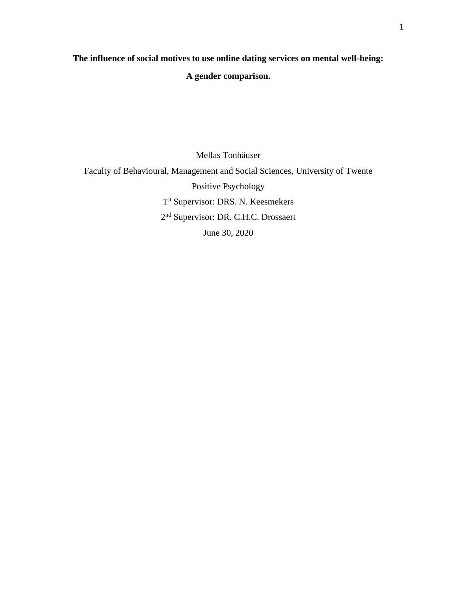# **The influence of social motives to use online dating services on mental well-being:**

# **A gender comparison.**

Mellas Tonhäuser Faculty of Behavioural, Management and Social Sciences, University of Twente Positive Psychology 1 st Supervisor: DRS. N. Keesmekers 2<sup>nd</sup> Supervisor: DR. C.H.C. Drossaert June 30, 2020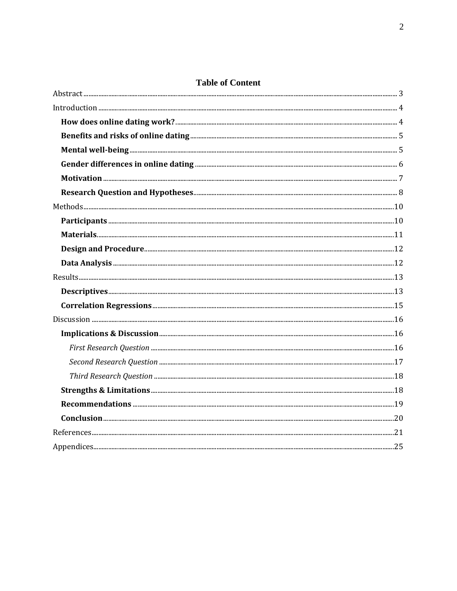# **Table of Content**

| $\textbf{Materials.} \textcolor{red}{}\textcolor{red}{}\textbf{max.} \textcolor{red}{}\textcolor{red}{}\textbf{max.} \textcolor{red}{}\textcolor{red}{}\textbf{max.} \textcolor{red}{}\textbf{max.} \textcolor{red}{}\textbf{max.} \textcolor{red}{}\textbf{max.} \textcolor{red}{}\textbf{max.} \textcolor{red}{}\textbf{max.} \textcolor{red}{}\textbf{max.} \textcolor{red}{}\textbf{max.} \textcolor{red}{}\textbf{max.} \textcolor{red}{}\textbf{max.} \textcolor{red}{}\textbf{max.} \textcolor{red}{}\textbf{max.} \textcolor{red}{}\textbf{max.}$ |  |
|-----------------------------------------------------------------------------------------------------------------------------------------------------------------------------------------------------------------------------------------------------------------------------------------------------------------------------------------------------------------------------------------------------------------------------------------------------------------------------------------------------------------------------------------------------------|--|
|                                                                                                                                                                                                                                                                                                                                                                                                                                                                                                                                                           |  |
|                                                                                                                                                                                                                                                                                                                                                                                                                                                                                                                                                           |  |
|                                                                                                                                                                                                                                                                                                                                                                                                                                                                                                                                                           |  |
|                                                                                                                                                                                                                                                                                                                                                                                                                                                                                                                                                           |  |
|                                                                                                                                                                                                                                                                                                                                                                                                                                                                                                                                                           |  |
|                                                                                                                                                                                                                                                                                                                                                                                                                                                                                                                                                           |  |
|                                                                                                                                                                                                                                                                                                                                                                                                                                                                                                                                                           |  |
|                                                                                                                                                                                                                                                                                                                                                                                                                                                                                                                                                           |  |
|                                                                                                                                                                                                                                                                                                                                                                                                                                                                                                                                                           |  |
|                                                                                                                                                                                                                                                                                                                                                                                                                                                                                                                                                           |  |
|                                                                                                                                                                                                                                                                                                                                                                                                                                                                                                                                                           |  |
|                                                                                                                                                                                                                                                                                                                                                                                                                                                                                                                                                           |  |
|                                                                                                                                                                                                                                                                                                                                                                                                                                                                                                                                                           |  |
|                                                                                                                                                                                                                                                                                                                                                                                                                                                                                                                                                           |  |
|                                                                                                                                                                                                                                                                                                                                                                                                                                                                                                                                                           |  |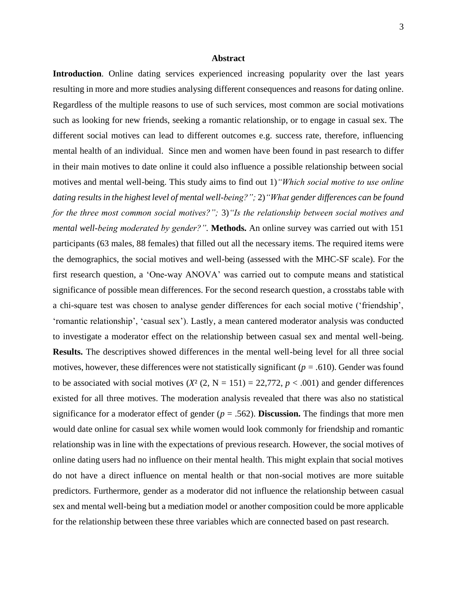#### **Abstract**

<span id="page-2-0"></span>Introduction. Online dating services experienced increasing popularity over the last years resulting in more and more studies analysing different consequences and reasons for dating online. Regardless of the multiple reasons to use of such services, most common are social motivations such as looking for new friends, seeking a romantic relationship, or to engage in casual sex. The different social motives can lead to different outcomes e.g. success rate, therefore, influencing mental health of an individual. Since men and women have been found in past research to differ in their main motives to date online it could also influence a possible relationship between social motives and mental well-being. This study aims to find out 1)*"Which social motive to use online dating results in the highest level of mental well-being?";* 2)*"What gender differences can be found for the three most common social motives?";* 3)*"Is the relationship between social motives and mental well-being moderated by gender?".* **Methods.** An online survey was carried out with 151 participants (63 males, 88 females) that filled out all the necessary items. The required items were the demographics, the social motives and well-being (assessed with the MHC-SF scale). For the first research question, a 'One-way ANOVA' was carried out to compute means and statistical significance of possible mean differences. For the second research question, a crosstabs table with a chi-square test was chosen to analyse gender differences for each social motive ('friendship', 'romantic relationship', 'casual sex'). Lastly, a mean cantered moderator analysis was conducted to investigate a moderator effect on the relationship between casual sex and mental well-being. **Results.** The descriptives showed differences in the mental well-being level for all three social motives, however, these differences were not statistically significant (*p = .*610). Gender was found to be associated with social motives  $(X^2 (2, N = 151) = 22,772, p < .001)$  and gender differences existed for all three motives. The moderation analysis revealed that there was also no statistical significance for a moderator effect of gender  $(p = .562)$ . **Discussion.** The findings that more men would date online for casual sex while women would look commonly for friendship and romantic relationship was in line with the expectations of previous research. However, the social motives of online dating users had no influence on their mental health. This might explain that social motives do not have a direct influence on mental health or that non-social motives are more suitable predictors. Furthermore, gender as a moderator did not influence the relationship between casual sex and mental well-being but a mediation model or another composition could be more applicable for the relationship between these three variables which are connected based on past research.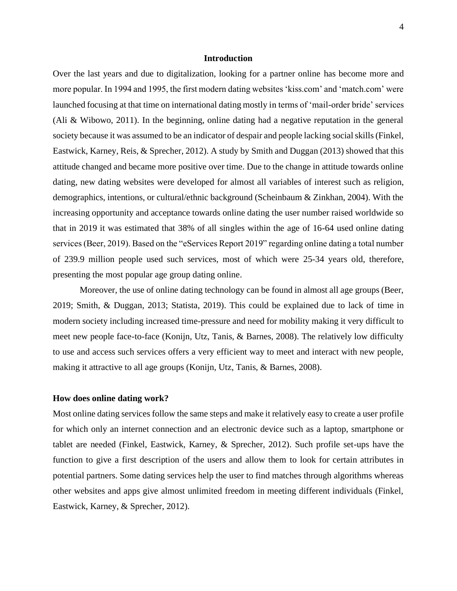#### **Introduction**

<span id="page-3-0"></span>Over the last years and due to digitalization, looking for a partner online has become more and more popular. In 1994 and 1995, the first modern dating websites 'kiss.com' and 'match.com' were launched focusing at that time on international dating mostly in terms of 'mail-order bride' services (Ali & Wibowo, 2011). In the beginning, online dating had a negative reputation in the general society because it was assumed to be an indicator of despair and people lacking social skills (Finkel, Eastwick, Karney, Reis, & Sprecher, 2012). A study by Smith and Duggan (2013) showed that this attitude changed and became more positive over time. Due to the change in attitude towards online dating, new dating websites were developed for almost all variables of interest such as religion, demographics, intentions, or cultural/ethnic background (Scheinbaum & Zinkhan, 2004). With the increasing opportunity and acceptance towards online dating the user number raised worldwide so that in 2019 it was estimated that 38% of all singles within the age of 16-64 used online dating services (Beer, 2019). Based on the "eServices Report 2019" regarding online dating a total number of 239.9 million people used such services, most of which were 25-34 years old, therefore, presenting the most popular age group dating online.

Moreover, the use of online dating technology can be found in almost all age groups (Beer, 2019; Smith, & Duggan, 2013; Statista, 2019). This could be explained due to lack of time in modern society including increased time-pressure and need for mobility making it very difficult to meet new people face-to-face (Konijn, Utz, Tanis, & Barnes, 2008). The relatively low difficulty to use and access such services offers a very efficient way to meet and interact with new people, making it attractive to all age groups (Konijn, Utz, Tanis, & Barnes, 2008).

#### <span id="page-3-1"></span>**How does online dating work?**

Most online dating services follow the same steps and make it relatively easy to create a user profile for which only an internet connection and an electronic device such as a laptop, smartphone or tablet are needed (Finkel, Eastwick, Karney, & Sprecher, 2012). Such profile set-ups have the function to give a first description of the users and allow them to look for certain attributes in potential partners. Some dating services help the user to find matches through algorithms whereas other websites and apps give almost unlimited freedom in meeting different individuals (Finkel, Eastwick, Karney, & Sprecher, 2012).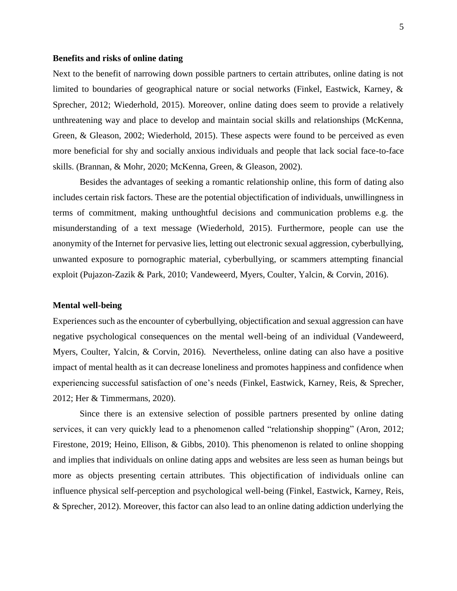#### <span id="page-4-0"></span>**Benefits and risks of online dating**

Next to the benefit of narrowing down possible partners to certain attributes, online dating is not limited to boundaries of geographical nature or social networks (Finkel, Eastwick, Karney, & Sprecher, 2012; Wiederhold, 2015). Moreover, online dating does seem to provide a relatively unthreatening way and place to develop and maintain social skills and relationships (McKenna, Green, & Gleason, 2002; Wiederhold, 2015). These aspects were found to be perceived as even more beneficial for shy and socially anxious individuals and people that lack social face-to-face skills. (Brannan, & Mohr, 2020; McKenna, Green, & Gleason, 2002).

Besides the advantages of seeking a romantic relationship online, this form of dating also includes certain risk factors. These are the potential objectification of individuals, unwillingness in terms of commitment, making unthoughtful decisions and communication problems e.g. the misunderstanding of a text message (Wiederhold, 2015). Furthermore, people can use the anonymity of the Internet for pervasive lies, letting out electronic sexual aggression, cyberbullying, unwanted exposure to pornographic material, cyberbullying, or scammers attempting financial exploit (Pujazon-Zazik & Park, 2010; Vandeweerd, Myers, Coulter, Yalcin, & Corvin, 2016).

#### <span id="page-4-1"></span>**Mental well-being**

Experiences such as the encounter of cyberbullying, objectification and sexual aggression can have negative psychological consequences on the mental well-being of an individual (Vandeweerd, Myers, Coulter, Yalcin, & Corvin, 2016). Nevertheless, online dating can also have a positive impact of mental health as it can decrease loneliness and promotes happiness and confidence when experiencing successful satisfaction of one's needs (Finkel, Eastwick, Karney, Reis, & Sprecher, 2012; Her & Timmermans, 2020).

Since there is an extensive selection of possible partners presented by online dating services, it can very quickly lead to a phenomenon called "relationship shopping" (Aron, 2012; Firestone, 2019; Heino, Ellison, & Gibbs, 2010). This phenomenon is related to online shopping and implies that individuals on online dating apps and websites are less seen as human beings but more as objects presenting certain attributes. This objectification of individuals online can influence physical self-perception and psychological well-being (Finkel, Eastwick, Karney, Reis, & Sprecher, 2012). Moreover, this factor can also lead to an online dating addiction underlying the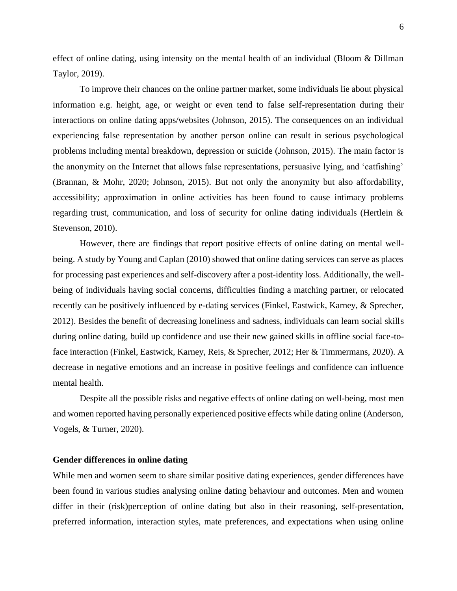effect of online dating, using intensity on the mental health of an individual (Bloom & Dillman Taylor, 2019).

To improve their chances on the online partner market, some individuals lie about physical information e.g. height, age, or weight or even tend to false self-representation during their interactions on online dating apps/websites (Johnson, 2015). The consequences on an individual experiencing false representation by another person online can result in serious psychological problems including mental breakdown, depression or suicide (Johnson, 2015). The main factor is the anonymity on the Internet that allows false representations, persuasive lying, and 'catfishing' (Brannan, & Mohr, 2020; Johnson, 2015). But not only the anonymity but also affordability, accessibility; approximation in online activities has been found to cause intimacy problems regarding trust, communication, and loss of security for online dating individuals (Hertlein  $\&$ Stevenson, 2010).

However, there are findings that report positive effects of online dating on mental wellbeing. A study by Young and Caplan (2010) showed that online dating services can serve as places for processing past experiences and self-discovery after a post-identity loss. Additionally, the wellbeing of individuals having social concerns, difficulties finding a matching partner, or relocated recently can be positively influenced by e-dating services (Finkel, Eastwick, Karney, & Sprecher, 2012). Besides the benefit of decreasing loneliness and sadness, individuals can learn social skills during online dating, build up confidence and use their new gained skills in offline social face-toface interaction (Finkel, Eastwick, Karney, Reis, & Sprecher, 2012; Her & Timmermans, 2020). A decrease in negative emotions and an increase in positive feelings and confidence can influence mental health.

Despite all the possible risks and negative effects of online dating on well-being, most men and women reported having personally experienced positive effects while dating online (Anderson, Vogels, & Turner, 2020).

#### <span id="page-5-0"></span>**Gender differences in online dating**

While men and women seem to share similar positive dating experiences, gender differences have been found in various studies analysing online dating behaviour and outcomes. Men and women differ in their (risk)perception of online dating but also in their reasoning, self-presentation, preferred information, interaction styles, mate preferences, and expectations when using online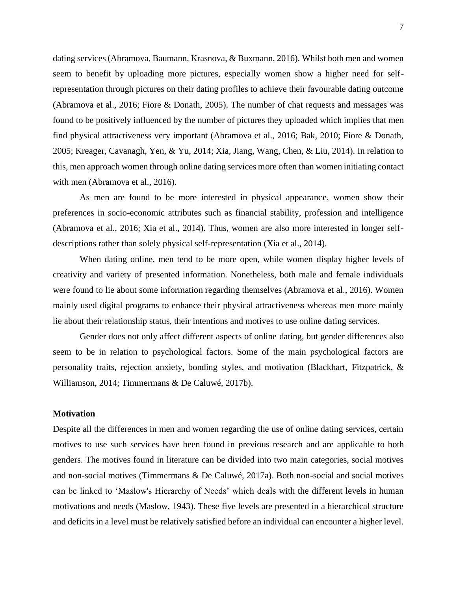dating services (Abramova, Baumann, Krasnova, & Buxmann, 2016). Whilst both men and women seem to benefit by uploading more pictures, especially women show a higher need for selfrepresentation through pictures on their dating profiles to achieve their favourable dating outcome (Abramova et al., 2016; Fiore & Donath, 2005). The number of chat requests and messages was found to be positively influenced by the number of pictures they uploaded which implies that men find physical attractiveness very important (Abramova et al., 2016; Bak, 2010; Fiore & Donath, 2005; Kreager, Cavanagh, Yen, & Yu, 2014; Xia, Jiang, Wang, Chen, & Liu, 2014). In relation to this, men approach women through online dating services more often than women initiating contact with men (Abramova et al., 2016).

As men are found to be more interested in physical appearance, women show their preferences in socio-economic attributes such as financial stability, profession and intelligence (Abramova et al., 2016; Xia et al., 2014). Thus, women are also more interested in longer selfdescriptions rather than solely physical self-representation (Xia et al., 2014).

When dating online, men tend to be more open, while women display higher levels of creativity and variety of presented information. Nonetheless, both male and female individuals were found to lie about some information regarding themselves (Abramova et al., 2016). Women mainly used digital programs to enhance their physical attractiveness whereas men more mainly lie about their relationship status, their intentions and motives to use online dating services.

Gender does not only affect different aspects of online dating, but gender differences also seem to be in relation to psychological factors. Some of the main psychological factors are personality traits, rejection anxiety, bonding styles, and motivation (Blackhart, Fitzpatrick, & Williamson, 2014; Timmermans & De Caluwé, 2017b).

#### <span id="page-6-0"></span>**Motivation**

Despite all the differences in men and women regarding the use of online dating services, certain motives to use such services have been found in previous research and are applicable to both genders. The motives found in literature can be divided into two main categories, social motives and non-social motives (Timmermans & De Caluwé, 2017a). Both non-social and social motives can be linked to 'Maslow's Hierarchy of Needs' which deals with the different levels in human motivations and needs (Maslow, 1943). These five levels are presented in a hierarchical structure and deficits in a level must be relatively satisfied before an individual can encounter a higher level.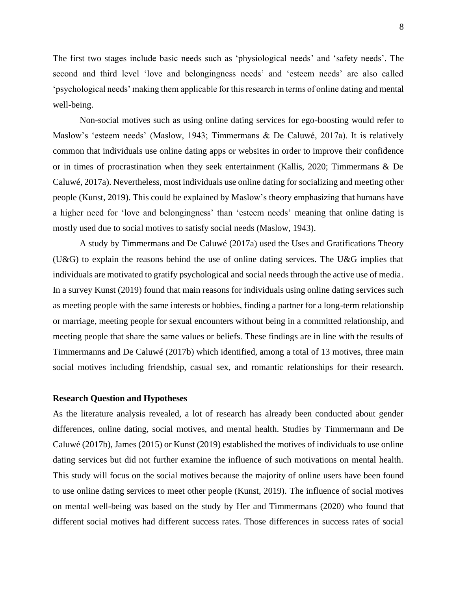8

The first two stages include basic needs such as 'physiological needs' and 'safety needs'. The second and third level 'love and belongingness needs' and 'esteem needs' are also called 'psychological needs' making them applicable for this research in terms of online dating and mental well-being.

Non-social motives such as using online dating services for ego-boosting would refer to Maslow's 'esteem needs' (Maslow, 1943; Timmermans & De Caluwé, 2017a). It is relatively common that individuals use online dating apps or websites in order to improve their confidence or in times of procrastination when they seek entertainment (Kallis, 2020; Timmermans & De Caluwé, 2017a). Nevertheless, most individuals use online dating for socializing and meeting other people (Kunst, 2019). This could be explained by Maslow's theory emphasizing that humans have a higher need for 'love and belongingness' than 'esteem needs' meaning that online dating is mostly used due to social motives to satisfy social needs (Maslow, 1943).

A study by Timmermans and De Caluwé (2017a) used the Uses and Gratifications Theory (U&G) to explain the reasons behind the use of online dating services. The U&G implies that individuals are motivated to gratify psychological and social needs through the active use of media. In a survey Kunst (2019) found that main reasons for individuals using online dating services such as meeting people with the same interests or hobbies, finding a partner for a long-term relationship or marriage, meeting people for sexual encounters without being in a committed relationship, and meeting people that share the same values or beliefs. These findings are in line with the results of Timmermanns and De Caluwé (2017b) which identified, among a total of 13 motives, three main social motives including friendship, casual sex, and romantic relationships for their research.

#### <span id="page-7-0"></span>**Research Question and Hypotheses**

As the literature analysis revealed, a lot of research has already been conducted about gender differences, online dating, social motives, and mental health. Studies by Timmermann and De Caluwé (2017b), James (2015) or Kunst (2019) established the motives of individuals to use online dating services but did not further examine the influence of such motivations on mental health. This study will focus on the social motives because the majority of online users have been found to use online dating services to meet other people (Kunst, 2019). The influence of social motives on mental well-being was based on the study by Her and Timmermans (2020) who found that different social motives had different success rates. Those differences in success rates of social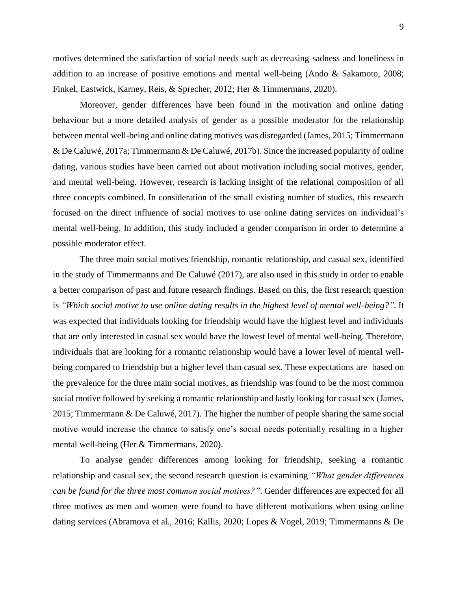motives determined the satisfaction of social needs such as decreasing sadness and loneliness in addition to an increase of positive emotions and mental well-being (Ando & Sakamoto, 2008; Finkel, Eastwick, Karney, Reis, & Sprecher, 2012; Her & Timmermans, 2020).

Moreover, gender differences have been found in the motivation and online dating behaviour but a more detailed analysis of gender as a possible moderator for the relationship between mental well-being and online dating motives was disregarded (James, 2015; Timmermann & De Caluwé, 2017a; Timmermann & De Caluwé, 2017b). Since the increased popularity of online dating, various studies have been carried out about motivation including social motives, gender, and mental well-being. However, research is lacking insight of the relational composition of all three concepts combined. In consideration of the small existing number of studies, this research focused on the direct influence of social motives to use online dating services on individual's mental well-being. In addition, this study included a gender comparison in order to determine a possible moderator effect.

The three main social motives friendship, romantic relationship, and casual sex, identified in the study of Timmermanns and De Caluwé (2017), are also used in this study in order to enable a better comparison of past and future research findings. Based on this, the first research question is *"Which social motive to use online dating results in the highest level of mental well-being?"*. It was expected that individuals looking for friendship would have the highest level and individuals that are only interested in casual sex would have the lowest level of mental well-being. Therefore, individuals that are looking for a romantic relationship would have a lower level of mental wellbeing compared to friendship but a higher level than casual sex. These expectations are based on the prevalence for the three main social motives, as friendship was found to be the most common social motive followed by seeking a romantic relationship and lastly looking for casual sex (James, 2015; Timmermann & De Caluwé, 2017). The higher the number of people sharing the same social motive would increase the chance to satisfy one's social needs potentially resulting in a higher mental well-being (Her & Timmermans, 2020).

To analyse gender differences among looking for friendship, seeking a romantic relationship and casual sex, the second research question is examining *"What gender differences can be found for the three most common social motives?"*. Gender differences are expected for all three motives as men and women were found to have different motivations when using online dating services (Abramova et al., 2016; Kallis, 2020; Lopes & Vogel, 2019; Timmermanns & De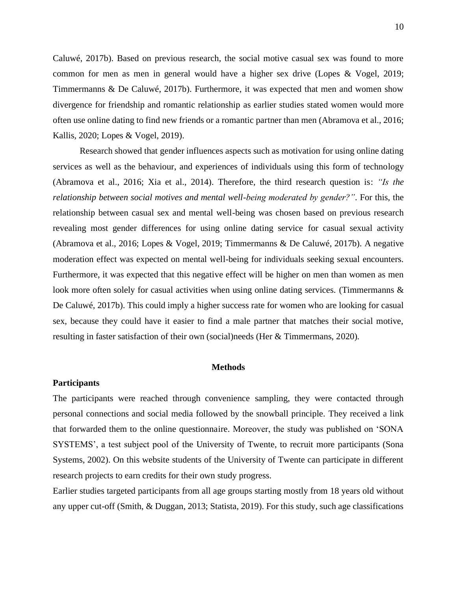Caluwé, 2017b). Based on previous research, the social motive casual sex was found to more common for men as men in general would have a higher sex drive (Lopes & Vogel, 2019; Timmermanns & De Caluwé, 2017b). Furthermore, it was expected that men and women show divergence for friendship and romantic relationship as earlier studies stated women would more often use online dating to find new friends or a romantic partner than men (Abramova et al., 2016; Kallis, 2020; Lopes & Vogel, 2019).

Research showed that gender influences aspects such as motivation for using online dating services as well as the behaviour, and experiences of individuals using this form of technology (Abramova et al., 2016; Xia et al., 2014). Therefore, the third research question is: *"Is the relationship between social motives and mental well-being moderated by gender?"*. For this, the relationship between casual sex and mental well-being was chosen based on previous research revealing most gender differences for using online dating service for casual sexual activity (Abramova et al., 2016; Lopes & Vogel, 2019; Timmermanns & De Caluwé, 2017b). A negative moderation effect was expected on mental well-being for individuals seeking sexual encounters. Furthermore, it was expected that this negative effect will be higher on men than women as men look more often solely for casual activities when using online dating services. (Timmermanns & De Caluwé, 2017b). This could imply a higher success rate for women who are looking for casual sex, because they could have it easier to find a male partner that matches their social motive, resulting in faster satisfaction of their own (social)needs (Her & Timmermans, 2020).

#### **Methods**

#### <span id="page-9-1"></span><span id="page-9-0"></span>**Participants**

The participants were reached through convenience sampling, they were contacted through personal connections and social media followed by the snowball principle. They received a link that forwarded them to the online questionnaire. Moreover, the study was published on 'SONA SYSTEMS', a test subject pool of the University of Twente, to recruit more participants (Sona Systems, 2002). On this website students of the University of Twente can participate in different research projects to earn credits for their own study progress.

Earlier studies targeted participants from all age groups starting mostly from 18 years old without any upper cut-off (Smith, & Duggan, 2013; Statista, 2019). For this study, such age classifications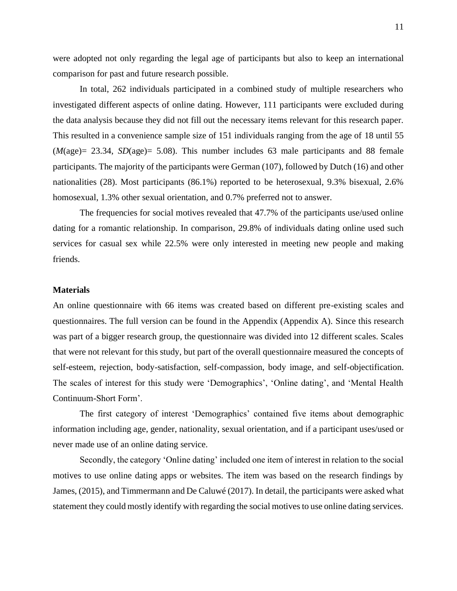were adopted not only regarding the legal age of participants but also to keep an international comparison for past and future research possible.

In total, 262 individuals participated in a combined study of multiple researchers who investigated different aspects of online dating. However, 111 participants were excluded during the data analysis because they did not fill out the necessary items relevant for this research paper. This resulted in a convenience sample size of 151 individuals ranging from the age of 18 until 55 (*M*(age)= 23.34, *SD*(age)= 5.08). This number includes 63 male participants and 88 female participants. The majority of the participants were German (107), followed by Dutch (16) and other nationalities (28). Most participants (86.1%) reported to be heterosexual, 9.3% bisexual, 2.6% homosexual, 1.3% other sexual orientation, and 0.7% preferred not to answer.

The frequencies for social motives revealed that 47.7% of the participants use/used online dating for a romantic relationship. In comparison, 29.8% of individuals dating online used such services for casual sex while 22.5% were only interested in meeting new people and making friends.

#### <span id="page-10-0"></span>**Materials**

An online questionnaire with 66 items was created based on different pre-existing scales and questionnaires. The full version can be found in the Appendix (Appendix A). Since this research was part of a bigger research group, the questionnaire was divided into 12 different scales. Scales that were not relevant for this study, but part of the overall questionnaire measured the concepts of self-esteem, rejection, body-satisfaction, self-compassion, body image, and self-objectification. The scales of interest for this study were 'Demographics', 'Online dating', and 'Mental Health Continuum-Short Form'.

The first category of interest 'Demographics' contained five items about demographic information including age, gender, nationality, sexual orientation, and if a participant uses/used or never made use of an online dating service.

Secondly, the category 'Online dating' included one item of interest in relation to the social motives to use online dating apps or websites. The item was based on the research findings by James, (2015), and Timmermann and De Caluwé (2017). In detail, the participants were asked what statement they could mostly identify with regarding the social motives to use online dating services.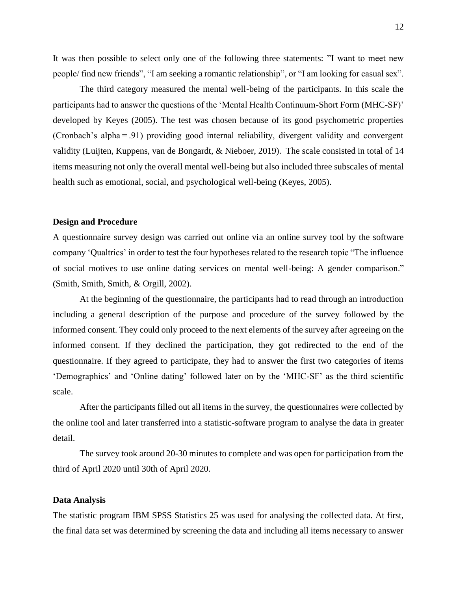It was then possible to select only one of the following three statements: "I want to meet new people/ find new friends", "I am seeking a romantic relationship", or "I am looking for casual sex".

The third category measured the mental well-being of the participants. In this scale the participants had to answer the questions of the 'Mental Health Continuum-Short Form (MHC-SF)' developed by Keyes (2005). The test was chosen because of its good psychometric properties (Cronbach's alpha = .91) providing good internal reliability, divergent validity and convergent validity (Luijten, Kuppens, van de Bongardt, & Nieboer, 2019). The scale consisted in total of 14 items measuring not only the overall mental well-being but also included three subscales of mental health such as emotional, social, and psychological well-being (Keyes, 2005).

#### <span id="page-11-0"></span>**Design and Procedure**

A questionnaire survey design was carried out online via an online survey tool by the software company 'Qualtrics' in order to test the four hypotheses related to the research topic "The influence of social motives to use online dating services on mental well-being: A gender comparison." (Smith, Smith, Smith, & Orgill, 2002).

At the beginning of the questionnaire, the participants had to read through an introduction including a general description of the purpose and procedure of the survey followed by the informed consent. They could only proceed to the next elements of the survey after agreeing on the informed consent. If they declined the participation, they got redirected to the end of the questionnaire. If they agreed to participate, they had to answer the first two categories of items 'Demographics' and 'Online dating' followed later on by the 'MHC-SF' as the third scientific scale.

After the participants filled out all items in the survey, the questionnaires were collected by the online tool and later transferred into a statistic-software program to analyse the data in greater detail.

The survey took around 20-30 minutes to complete and was open for participation from the third of April 2020 until 30th of April 2020.

#### <span id="page-11-1"></span>**Data Analysis**

The statistic program IBM SPSS Statistics 25 was used for analysing the collected data. At first, the final data set was determined by screening the data and including all items necessary to answer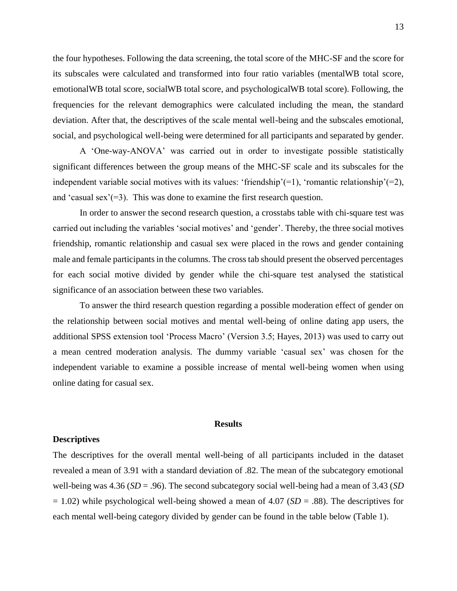the four hypotheses. Following the data screening, the total score of the MHC-SF and the score for its subscales were calculated and transformed into four ratio variables (mentalWB total score, emotionalWB total score, socialWB total score, and psychologicalWB total score). Following, the frequencies for the relevant demographics were calculated including the mean, the standard deviation. After that, the descriptives of the scale mental well-being and the subscales emotional, social, and psychological well-being were determined for all participants and separated by gender.

A 'One-way-ANOVA' was carried out in order to investigate possible statistically significant differences between the group means of the MHC-SF scale and its subscales for the independent variable social motives with its values: 'friendship'(=1), 'romantic relationship'(=2), and 'casual sex'( $=3$ ). This was done to examine the first research question.

In order to answer the second research question, a crosstabs table with chi-square test was carried out including the variables 'social motives' and 'gender'. Thereby, the three social motives friendship, romantic relationship and casual sex were placed in the rows and gender containing male and female participants in the columns. The cross tab should present the observed percentages for each social motive divided by gender while the chi-square test analysed the statistical significance of an association between these two variables.

To answer the third research question regarding a possible moderation effect of gender on the relationship between social motives and mental well-being of online dating app users, the additional SPSS extension tool 'Process Macro' (Version 3.5; Hayes, 2013) was used to carry out a mean centred moderation analysis. The dummy variable 'casual sex' was chosen for the independent variable to examine a possible increase of mental well-being women when using online dating for casual sex.

#### **Results**

#### <span id="page-12-1"></span><span id="page-12-0"></span>**Descriptives**

The descriptives for the overall mental well-being of all participants included in the dataset revealed a mean of 3.91 with a standard deviation of .82. The mean of the subcategory emotional well-being was 4.36 (*SD* = .96). The second subcategory social well-being had a mean of 3.43 (*SD* = 1.02) while psychological well-being showed a mean of 4.07 (*SD* = .88). The descriptives for each mental well-being category divided by gender can be found in the table below (Table 1).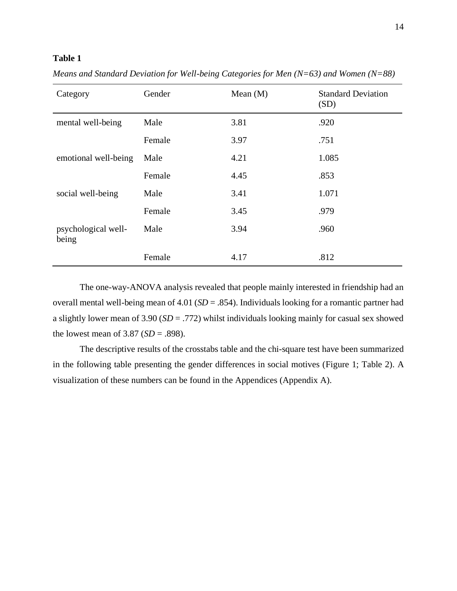### **Table 1**

| Category                     | Gender | Mean $(M)$ | <b>Standard Deviation</b><br>(SD) |
|------------------------------|--------|------------|-----------------------------------|
| mental well-being            | Male   | 3.81       | .920                              |
|                              | Female | 3.97       | .751                              |
| emotional well-being         | Male   | 4.21       | 1.085                             |
|                              | Female | 4.45       | .853                              |
| social well-being            | Male   | 3.41       | 1.071                             |
|                              | Female | 3.45       | .979                              |
| psychological well-<br>being | Male   | 3.94       | .960                              |
|                              | Female | 4.17       | .812                              |

*Means and Standard Deviation for Well-being Categories for Men (N=63) and Women (N=88)*

The one-way-ANOVA analysis revealed that people mainly interested in friendship had an overall mental well-being mean of 4.01 (*SD* = .854). Individuals looking for a romantic partner had a slightly lower mean of 3.90 (*SD* = .772) whilst individuals looking mainly for casual sex showed the lowest mean of 3.87 (*SD* = .898).

The descriptive results of the crosstabs table and the chi-square test have been summarized in the following table presenting the gender differences in social motives (Figure 1; Table 2). A visualization of these numbers can be found in the Appendices (Appendix A).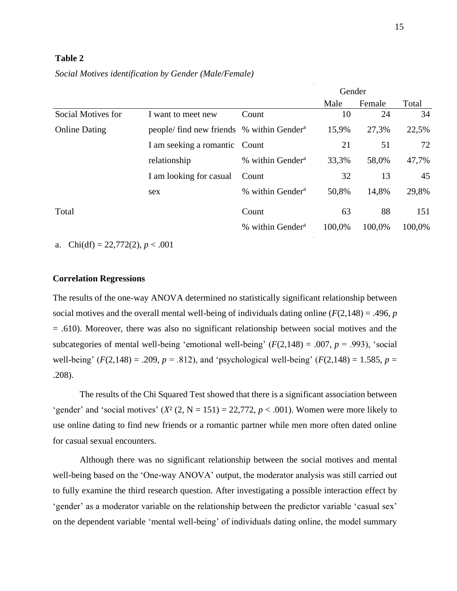#### **Table 2**

*Social Motives identification by Gender (Male/Female)*

|                      |                                                       |                              | Gender |        |        |
|----------------------|-------------------------------------------------------|------------------------------|--------|--------|--------|
|                      |                                                       |                              | Male   | Female | Total  |
| Social Motives for   | I want to meet new                                    | Count                        | 10     | 24     | 34     |
| <b>Online Dating</b> | people/ find new friends % within Gender <sup>a</sup> |                              | 15,9%  | 27,3%  | 22,5%  |
|                      | I am seeking a romantic Count                         |                              | 21     | 51     | 72     |
|                      | relationship                                          | % within Gender <sup>a</sup> | 33,3%  | 58,0%  | 47,7%  |
|                      | I am looking for casual                               | Count                        | 32     | 13     | 45     |
|                      | sex                                                   | % within Gender <sup>a</sup> | 50,8%  | 14,8%  | 29,8%  |
| Total                |                                                       | Count                        | 63     | 88     | 151    |
|                      |                                                       | % within Gender <sup>a</sup> | 100,0% | 100,0% | 100,0% |

a. Chi(df) =  $22,772(2)$ ,  $p < .001$ 

#### <span id="page-14-0"></span>**Correlation Regressions**

The results of the one-way ANOVA determined no statistically significant relationship between social motives and the overall mental well-being of individuals dating online  $(F(2,148) = .496, p$ = .610). Moreover, there was also no significant relationship between social motives and the subcategories of mental well-being 'emotional well-being'  $(F(2,148) = .007, p = .993)$ , 'social well-being'  $(F(2,148) = .209, p = .812)$ , and 'psychological well-being'  $(F(2,148) = 1.585, p = .812)$ .208).

The results of the Chi Squared Test showed that there is a significant association between 'gender' and 'social motives'  $(X^2 (2, N = 151) = 22,772, p < .001)$ . Women were more likely to use online dating to find new friends or a romantic partner while men more often dated online for casual sexual encounters.

Although there was no significant relationship between the social motives and mental well-being based on the 'One-way ANOVA' output, the moderator analysis was still carried out to fully examine the third research question. After investigating a possible interaction effect by 'gender' as a moderator variable on the relationship between the predictor variable 'casual sex' on the dependent variable 'mental well-being' of individuals dating online, the model summary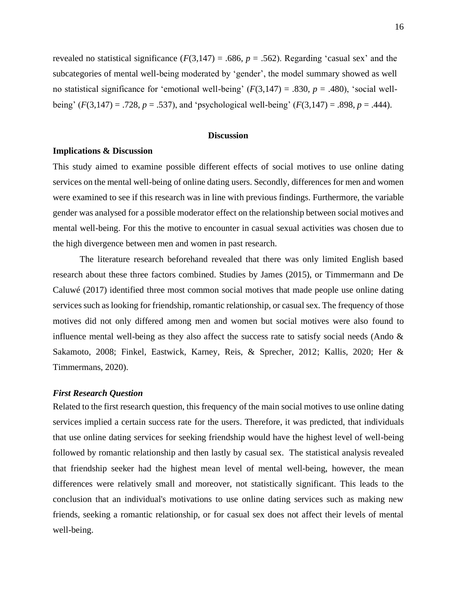revealed no statistical significance  $(F(3,147) = .686, p = .562)$ . Regarding 'casual sex' and the subcategories of mental well-being moderated by 'gender', the model summary showed as well no statistical significance for 'emotional well-being'  $(F(3,147) = .830, p = .480)$ , 'social wellbeing'  $(F(3,147) = .728, p = .537)$ , and 'psychological well-being'  $(F(3,147) = .898, p = .444)$ .

#### **Discussion**

#### <span id="page-15-1"></span><span id="page-15-0"></span>**Implications & Discussion**

This study aimed to examine possible different effects of social motives to use online dating services on the mental well-being of online dating users. Secondly, differences for men and women were examined to see if this research was in line with previous findings. Furthermore, the variable gender was analysed for a possible moderator effect on the relationship between social motives and mental well-being. For this the motive to encounter in casual sexual activities was chosen due to the high divergence between men and women in past research.

The literature research beforehand revealed that there was only limited English based research about these three factors combined. Studies by James (2015), or Timmermann and De Caluwé (2017) identified three most common social motives that made people use online dating services such as looking for friendship, romantic relationship, or casual sex. The frequency of those motives did not only differed among men and women but social motives were also found to influence mental well-being as they also affect the success rate to satisfy social needs (Ando  $\&$ Sakamoto, 2008; Finkel, Eastwick, Karney, Reis, & Sprecher, 2012; Kallis, 2020; Her & Timmermans, 2020).

#### <span id="page-15-2"></span>*First Research Question*

Related to the first research question, this frequency of the main social motives to use online dating services implied a certain success rate for the users. Therefore, it was predicted, that individuals that use online dating services for seeking friendship would have the highest level of well-being followed by romantic relationship and then lastly by casual sex. The statistical analysis revealed that friendship seeker had the highest mean level of mental well-being, however, the mean differences were relatively small and moreover, not statistically significant. This leads to the conclusion that an individual's motivations to use online dating services such as making new friends, seeking a romantic relationship, or for casual sex does not affect their levels of mental well-being.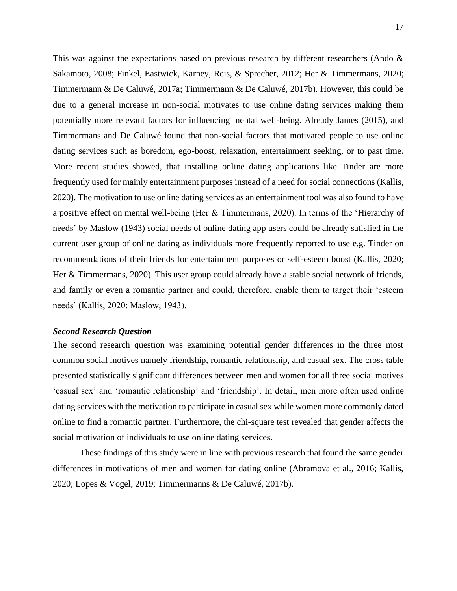This was against the expectations based on previous research by different researchers (Ando  $\&$ Sakamoto, 2008; Finkel, Eastwick, Karney, Reis, & Sprecher, 2012; Her & Timmermans, 2020; Timmermann & De Caluwé, 2017a; Timmermann & De Caluwé, 2017b). However, this could be due to a general increase in non-social motivates to use online dating services making them potentially more relevant factors for influencing mental well-being. Already James (2015), and Timmermans and De Caluwé found that non-social factors that motivated people to use online dating services such as boredom, ego-boost, relaxation, entertainment seeking, or to past time. More recent studies showed, that installing online dating applications like Tinder are more frequently used for mainly entertainment purposes instead of a need for social connections (Kallis, 2020). The motivation to use online dating services as an entertainment tool was also found to have a positive effect on mental well-being (Her & Timmermans, 2020). In terms of the 'Hierarchy of needs' by Maslow (1943) social needs of online dating app users could be already satisfied in the current user group of online dating as individuals more frequently reported to use e.g. Tinder on recommendations of their friends for entertainment purposes or self-esteem boost (Kallis, 2020; Her & Timmermans, 2020). This user group could already have a stable social network of friends, and family or even a romantic partner and could, therefore, enable them to target their 'esteem needs' (Kallis, 2020; Maslow, 1943).

#### <span id="page-16-0"></span>*Second Research Question*

The second research question was examining potential gender differences in the three most common social motives namely friendship, romantic relationship, and casual sex. The cross table presented statistically significant differences between men and women for all three social motives 'casual sex' and 'romantic relationship' and 'friendship'. In detail, men more often used online dating services with the motivation to participate in casual sex while women more commonly dated online to find a romantic partner. Furthermore, the chi-square test revealed that gender affects the social motivation of individuals to use online dating services.

These findings of this study were in line with previous research that found the same gender differences in motivations of men and women for dating online (Abramova et al., 2016; Kallis, 2020; Lopes & Vogel, 2019; Timmermanns & De Caluwé, 2017b).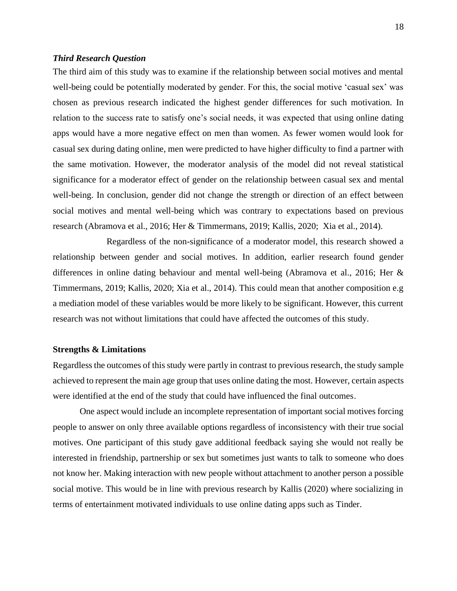#### <span id="page-17-0"></span>*Third Research Question*

The third aim of this study was to examine if the relationship between social motives and mental well-being could be potentially moderated by gender. For this, the social motive 'casual sex' was chosen as previous research indicated the highest gender differences for such motivation. In relation to the success rate to satisfy one's social needs, it was expected that using online dating apps would have a more negative effect on men than women. As fewer women would look for casual sex during dating online, men were predicted to have higher difficulty to find a partner with the same motivation. However, the moderator analysis of the model did not reveal statistical significance for a moderator effect of gender on the relationship between casual sex and mental well-being. In conclusion, gender did not change the strength or direction of an effect between social motives and mental well-being which was contrary to expectations based on previous research (Abramova et al., 2016; Her & Timmermans, 2019; Kallis, 2020; Xia et al., 2014).

Regardless of the non-significance of a moderator model, this research showed a relationship between gender and social motives. In addition, earlier research found gender differences in online dating behaviour and mental well-being (Abramova et al., 2016; Her & Timmermans, 2019; Kallis, 2020; Xia et al., 2014). This could mean that another composition e.g a mediation model of these variables would be more likely to be significant. However, this current research was not without limitations that could have affected the outcomes of this study.

#### <span id="page-17-1"></span>**Strengths & Limitations**

Regardless the outcomes of this study were partly in contrast to previous research, the study sample achieved to represent the main age group that uses online dating the most. However, certain aspects were identified at the end of the study that could have influenced the final outcomes.

One aspect would include an incomplete representation of important social motives forcing people to answer on only three available options regardless of inconsistency with their true social motives. One participant of this study gave additional feedback saying she would not really be interested in friendship, partnership or sex but sometimes just wants to talk to someone who does not know her. Making interaction with new people without attachment to another person a possible social motive. This would be in line with previous research by Kallis (2020) where socializing in terms of entertainment motivated individuals to use online dating apps such as Tinder.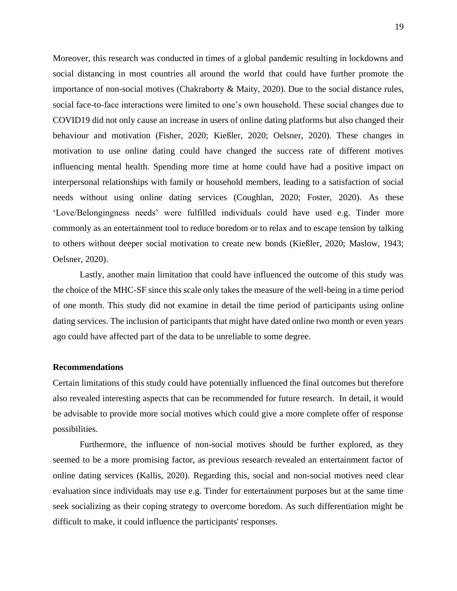Moreover, this research was conducted in times of a global pandemic resulting in lockdowns and social distancing in most countries all around the world that could have further promote the importance of non-social motives (Chakraborty & Maity, 2020). Due to the social distance rules, social face-to-face interactions were limited to one's own household. These social changes due to COVID19 did not only cause an increase in users of online dating platforms but also changed their behaviour and motivation (Fisher, 2020; Kießler, 2020; Oelsner, 2020). These changes in motivation to use online dating could have changed the success rate of different motives influencing mental health. Spending more time at home could have had a positive impact on interpersonal relationships with family or household members, leading to a satisfaction of social needs without using online dating services (Coughlan, 2020; Foster, 2020). As these 'Love/Belongingness needs' were fulfilled individuals could have used e.g. Tinder more commonly as an entertainment tool to reduce boredom or to relax and to escape tension by talking to others without deeper social motivation to create new bonds (Kießler, 2020; Maslow, 1943; Oelsner, 2020).

Lastly, another main limitation that could have influenced the outcome of this study was the choice of the MHC-SF since this scale only takes the measure of the well-being in a time period of one month. This study did not examine in detail the time period of participants using online dating services. The inclusion of participants that might have dated online two month or even years ago could have affected part of the data to be unreliable to some degree.

#### <span id="page-18-0"></span>**Recommendations**

Certain limitations of this study could have potentially influenced the final outcomes but therefore also revealed interesting aspects that can be recommended for future research. In detail, it would be advisable to provide more social motives which could give a more complete offer of response possibilities.

Furthermore, the influence of non-social motives should be further explored, as they seemed to be a more promising factor, as previous research revealed an entertainment factor of online dating services (Kallis, 2020). Regarding this, social and non-social motives need clear evaluation since individuals may use e.g. Tinder for entertainment purposes but at the same time seek socializing as their coping strategy to overcome boredom. As such differentiation might be difficult to make, it could influence the participants' responses.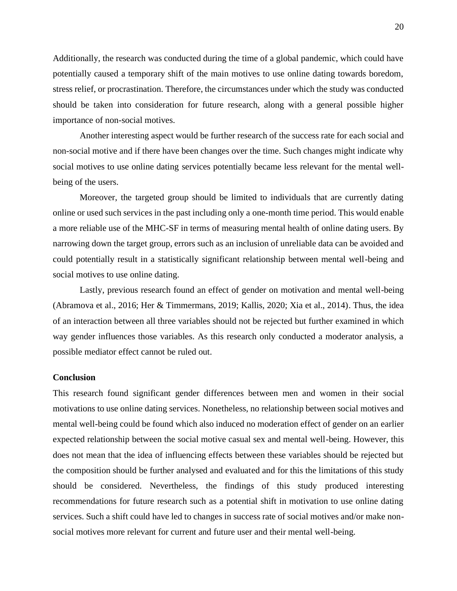Additionally, the research was conducted during the time of a global pandemic, which could have potentially caused a temporary shift of the main motives to use online dating towards boredom, stress relief, or procrastination. Therefore, the circumstances under which the study was conducted should be taken into consideration for future research, along with a general possible higher importance of non-social motives.

Another interesting aspect would be further research of the success rate for each social and non-social motive and if there have been changes over the time. Such changes might indicate why social motives to use online dating services potentially became less relevant for the mental wellbeing of the users.

Moreover, the targeted group should be limited to individuals that are currently dating online or used such services in the past including only a one-month time period. This would enable a more reliable use of the MHC-SF in terms of measuring mental health of online dating users. By narrowing down the target group, errors such as an inclusion of unreliable data can be avoided and could potentially result in a statistically significant relationship between mental well-being and social motives to use online dating.

Lastly, previous research found an effect of gender on motivation and mental well-being (Abramova et al., 2016; Her & Timmermans, 2019; Kallis, 2020; Xia et al., 2014). Thus, the idea of an interaction between all three variables should not be rejected but further examined in which way gender influences those variables. As this research only conducted a moderator analysis, a possible mediator effect cannot be ruled out.

#### <span id="page-19-0"></span>**Conclusion**

This research found significant gender differences between men and women in their social motivations to use online dating services. Nonetheless, no relationship between social motives and mental well-being could be found which also induced no moderation effect of gender on an earlier expected relationship between the social motive casual sex and mental well-being. However, this does not mean that the idea of influencing effects between these variables should be rejected but the composition should be further analysed and evaluated and for this the limitations of this study should be considered. Nevertheless, the findings of this study produced interesting recommendations for future research such as a potential shift in motivation to use online dating services. Such a shift could have led to changes in success rate of social motives and/or make nonsocial motives more relevant for current and future user and their mental well-being.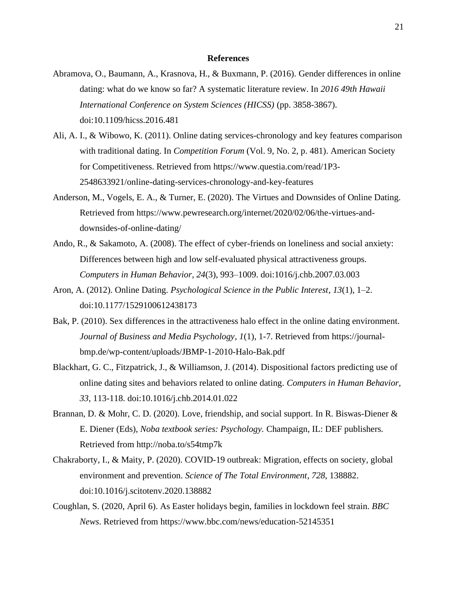#### **References**

- <span id="page-20-0"></span>Abramova, O., Baumann, A., Krasnova, H., & Buxmann, P. (2016). Gender differences in online dating: what do we know so far? A systematic literature review. In *2016 49th Hawaii International Conference on System Sciences (HICSS)* (pp. 3858-3867). doi:10.1109/hicss.2016.481
- Ali, A. I., & Wibowo, K. (2011). Online dating services-chronology and key features comparison with traditional dating. In *Competition Forum* (Vol. 9, No. 2, p. 481). American Society for Competitiveness. Retrieved from [https://www.questia.com/read/1P3-](https://www.questia.com/read/1P3-2548633921/online-dating-services-chronology-and-key-features) [2548633921/online-dating-services-chronology-and-key-features](https://www.questia.com/read/1P3-2548633921/online-dating-services-chronology-and-key-features)
- Anderson, M., Vogels, E. A., & Turner, E. (2020). The Virtues and Downsides of Online Dating. Retrieved from [https://www.pewresearch.org/internet/2020/02/06/the-virtues-and](https://www.pewresearch.org/internet/2020/02/06/the-virtues-and-downsides-of-online-dating/)[downsides-of-online-dating/](https://www.pewresearch.org/internet/2020/02/06/the-virtues-and-downsides-of-online-dating/)
- Ando, R., & Sakamoto, A. (2008). The effect of cyber-friends on loneliness and social anxiety: Differences between high and low self-evaluated physical attractiveness groups. *Computers in Human Behavior*, *24*(3), 993–1009. doi:1016/j.chb.2007.03.003
- Aron, A. (2012). Online Dating. *Psychological Science in the Public Interest*, *13*(1), 1–2. doi:10.1177/1529100612438173
- Bak, P. (2010). Sex differences in the attractiveness halo effect in the online dating environment. *Journal of Business and Media Psychology*, *1*(1), 1-7. Retrieved from [https://journal](https://journal-bmp.de/wp-content/uploads/JBMP-1-2010-Halo-Bak.pdf)[bmp.de/wp-content/uploads/JBMP-1-2010-Halo-Bak.pdf](https://journal-bmp.de/wp-content/uploads/JBMP-1-2010-Halo-Bak.pdf)
- Blackhart, G. C., Fitzpatrick, J., & Williamson, J. (2014). Dispositional factors predicting use of online dating sites and behaviors related to online dating. *Computers in Human Behavior, 33*, 113-118. doi:10.1016/j.chb.2014.01.022
- Brannan, D. & Mohr, C. D. (2020). Love, friendship, and social support. In R. Biswas-Diener & E. Diener (Eds), *Noba textbook series: Psychology.* Champaign, IL: DEF publishers. Retrieved from<http://noba.to/s54tmp7k>
- Chakraborty, I., & Maity, P. (2020). COVID-19 outbreak: Migration, effects on society, global environment and prevention. *Science of The Total Environment*, *728*, 138882. doi:10.1016/j.scitotenv.2020.138882
- Coughlan, S. (2020, April 6). As Easter holidays begin, families in lockdown feel strain. *BBC News*. Retrieved from<https://www.bbc.com/news/education-52145351>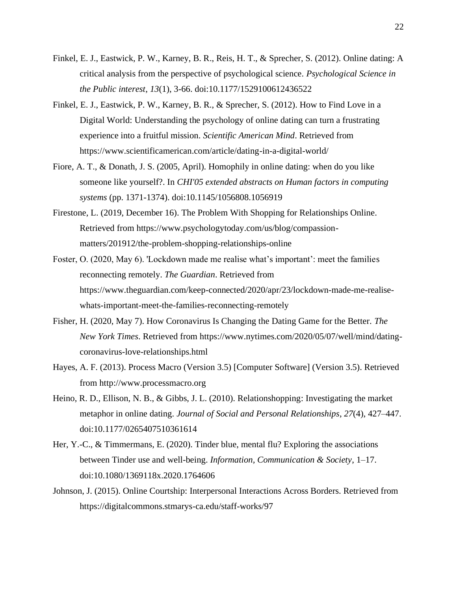- Finkel, E. J., Eastwick, P. W., Karney, B. R., Reis, H. T., & Sprecher, S. (2012). Online dating: A critical analysis from the perspective of psychological science. *Psychological Science in the Public interest*, *13*(1), 3-66. doi:10.1177/1529100612436522
- Finkel, E. J., Eastwick, P. W., Karney, B. R., & Sprecher, S. (2012). How to Find Love in a Digital World: Understanding the psychology of online dating can turn a frustrating experience into a fruitful mission. *Scientific American Mind*. Retrieved from <https://www.scientificamerican.com/article/dating-in-a-digital-world/>
- Fiore, A. T., & Donath, J. S. (2005, April). Homophily in online dating: when do you like someone like yourself?. In *CHI'05 extended abstracts on Human factors in computing systems* (pp. 1371-1374). doi:10.1145/1056808.1056919
- Firestone, L. (2019, December 16). The Problem With Shopping for Relationships Online. Retrieved from [https://www.psychologytoday.com/us/blog/compassion](https://www.psychologytoday.com/us/blog/compassion-matters/201912/the-problem-shopping-relationships-online)[matters/201912/the-problem-shopping-relationships-online](https://www.psychologytoday.com/us/blog/compassion-matters/201912/the-problem-shopping-relationships-online)
- Foster, O. (2020, May 6). 'Lockdown made me realise what's important': meet the families reconnecting remotely. *The Guardian*. Retrieved from [https://www.theguardian.com/keep-connected/2020/apr/23/lockdown-made-me-realise](https://www.theguardian.com/keep-connected/2020/apr/23/lockdown-made-me-realise-whats-important-meet-the-families-reconnecting-remotely)[whats-important-meet-the-families-reconnecting-remotely](https://www.theguardian.com/keep-connected/2020/apr/23/lockdown-made-me-realise-whats-important-meet-the-families-reconnecting-remotely)
- Fisher, H. (2020, May 7). How Coronavirus Is Changing the Dating Game for the Better. *The New York Times*. Retrieved from [https://www.nytimes.com/2020/05/07/well/mind/dating](https://www.nytimes.com/2020/05/07/well/mind/dating-coronavirus-love-relationships.html)[coronavirus-love-relationships.html](https://www.nytimes.com/2020/05/07/well/mind/dating-coronavirus-love-relationships.html)
- Hayes, A. F. (2013). Process Macro (Version 3.5) [Computer Software] (Version 3.5). Retrieved from http://www.processmacro.org
- Heino, R. D., Ellison, N. B., & Gibbs, J. L. (2010). Relationshopping: Investigating the market metaphor in online dating. *Journal of Social and Personal Relationships*, *27*(4), 427–447. doi:10.1177/0265407510361614
- Her, Y.-C., & Timmermans, E. (2020). Tinder blue, mental flu? Exploring the associations between Tinder use and well-being. *Information, Communication & Society*, 1–17. doi:10.1080/1369118x.2020.1764606
- Johnson, J. (2015). Online Courtship: Interpersonal Interactions Across Borders. Retrieved from <https://digitalcommons.stmarys-ca.edu/staff-works/97>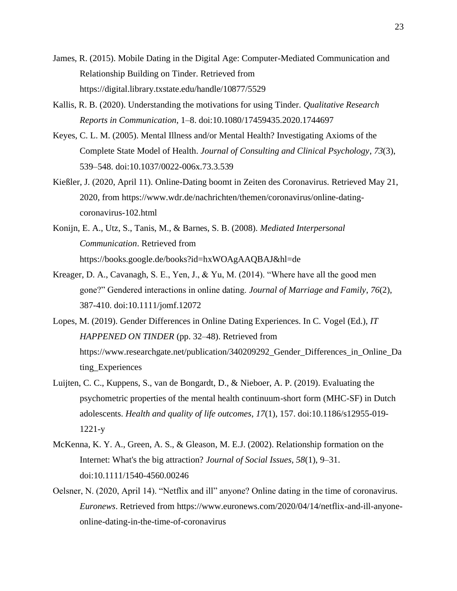- James, R. (2015). Mobile Dating in the Digital Age: Computer-Mediated Communication and Relationship Building on Tinder. Retrieved from <https://digital.library.txstate.edu/handle/10877/5529>
- Kallis, R. B. (2020). Understanding the motivations for using Tinder. *Qualitative Research Reports in Communication*, 1–8. doi:10.1080/17459435.2020.1744697
- Keyes, C. L. M. (2005). Mental Illness and/or Mental Health? Investigating Axioms of the Complete State Model of Health. *Journal of Consulting and Clinical Psychology*, *73*(3), 539–548. doi:10.1037/0022-006x.73.3.539
- Kießler, J. (2020, April 11). Online-Dating boomt in Zeiten des Coronavirus. Retrieved May 21, 2020, from [https://www.wdr.de/nachrichten/themen/coronavirus/online-dating](https://www.wdr.de/nachrichten/themen/coronavirus/online-dating-coronavirus-102.html)[coronavirus-102.html](https://www.wdr.de/nachrichten/themen/coronavirus/online-dating-coronavirus-102.html)
- Konijn, E. A., Utz, S., Tanis, M., & Barnes, S. B. (2008). *Mediated Interpersonal Communication*. Retrieved from <https://books.google.de/books?id=hxWOAgAAQBAJ&hl=de>
- Kreager, D. A., Cavanagh, S. E., Yen, J., & Yu, M. (2014). "Where have all the good men gone?" Gendered interactions in online dating. *Journal of Marriage and Family*, *76*(2), 387-410. doi:10.1111/jomf.12072
- Lopes, M. (2019). Gender Differences in Online Dating Experiences. In C. Vogel (Ed.), *IT HAPPENED ON TINDER* (pp. 32–48). Retrieved from https://www.researchgate.net/publication/340209292\_Gender\_Differences\_in\_Online\_Da ting\_Experiences
- Luijten, C. C., Kuppens, S., van de Bongardt, D., & Nieboer, A. P. (2019). Evaluating the psychometric properties of the mental health continuum-short form (MHC-SF) in Dutch adolescents. *Health and quality of life outcomes*, *17*(1), 157. doi:10.1186/s12955-019- 1221-y
- McKenna, K. Y. A., Green, A. S., & Gleason, M. E.J. (2002). Relationship formation on the Internet: What's the big attraction? *Journal of Social Issues, 58*(1), 9–31. doi[:10.1111/1540-4560.00246](https://psycnet.apa.org/doi/10.1111/1540-4560.00246)
- Oelsner, N. (2020, April 14). "Netflix and ill" anyone? Online dating in the time of coronavirus. *Euronews*. Retrieved from [https://www.euronews.com/2020/04/14/netflix-and-ill-anyone](https://www.euronews.com/2020/04/14/netflix-and-ill-anyone-online-dating-in-the-time-of-coronavirus)[online-dating-in-the-time-of-coronavirus](https://www.euronews.com/2020/04/14/netflix-and-ill-anyone-online-dating-in-the-time-of-coronavirus)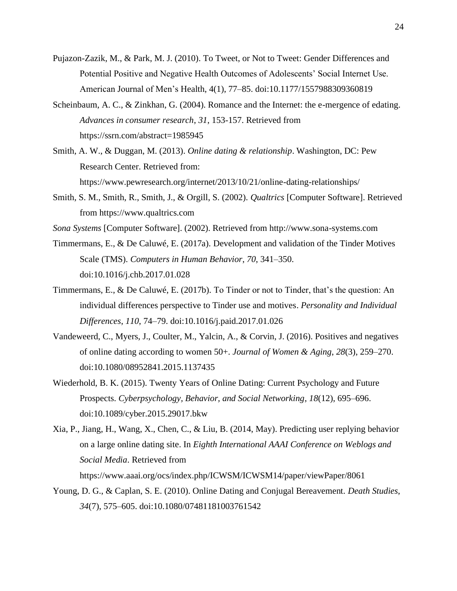- Pujazon-Zazik, M., & Park, M. J. (2010). To Tweet, or Not to Tweet: Gender Differences and Potential Positive and Negative Health Outcomes of Adolescents' Social Internet Use. American Journal of Men's Health, 4(1), 77–85. doi:10.1177/1557988309360819
- Scheinbaum, A. C., & Zinkhan, G. (2004). Romance and the Internet: the e-mergence of edating. *Advances in consumer research*, *31*, 153-157. Retrieved from <https://ssrn.com/abstract=1985945>
- Smith, A. W., & Duggan, M. (2013). *Online dating & relationship*. Washington, DC: Pew Research Center. Retrieved from: <https://www.pewresearch.org/internet/2013/10/21/online-dating-relationships/>
- Smith, S. M., Smith, R., Smith, J., & Orgill, S. (2002). *Qualtrics* [Computer Software]. Retrieved from [https://www.qualtrics.com](https://www.qualtrics.com/)
- *Sona Systems* [Computer Software]. (2002). Retrieved from http://www.sona-systems.com
- Timmermans, E., & De Caluwé, E. (2017a). Development and validation of the Tinder Motives Scale (TMS). *Computers in Human Behavior*, *70*, 341–350. doi[:10.1016/j.chb.2017.01.028](https://doi.org/10.1016/j.chb.2017.01.028)
- Timmermans, E., & De Caluwé, E. (2017b). To Tinder or not to Tinder, that's the question: An individual differences perspective to Tinder use and motives. *Personality and Individual Differences*, *110*, 74–79. doi:10.1016/j.paid.2017.01.026
- Vandeweerd, C., Myers, J., Coulter, M., Yalcin, A., & Corvin, J. (2016). Positives and negatives of online dating according to women 50+. *Journal of Women & Aging*, *28*(3), 259–270. doi:10.1080/08952841.2015.1137435
- Wiederhold, B. K. (2015). Twenty Years of Online Dating: Current Psychology and Future Prospects. *Cyberpsychology, Behavior, and Social Networking*, *18*(12), 695–696. doi:10.1089/cyber.2015.29017.bkw
- Xia, P., Jiang, H., Wang, X., Chen, C., & Liu, B. (2014, May). Predicting user replying behavior on a large online dating site. In *Eighth International AAAI Conference on Weblogs and Social Media*. Retrieved from <https://www.aaai.org/ocs/index.php/ICWSM/ICWSM14/paper/viewPaper/8061>
- Young, D. G., & Caplan, S. E. (2010). Online Dating and Conjugal Bereavement. *Death Studies*, *34*(7), 575–605. doi:10.1080/07481181003761542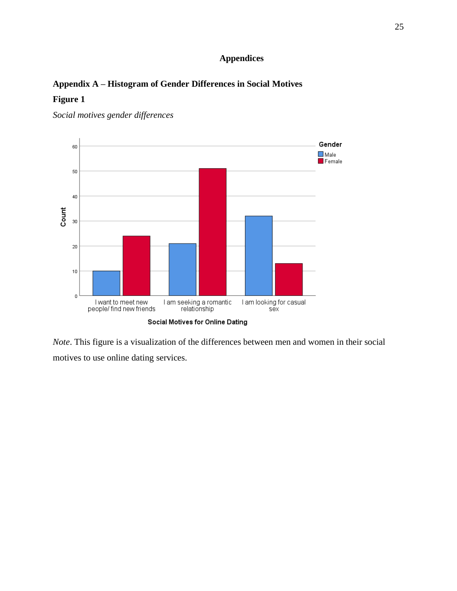# **Appendices**

# <span id="page-24-0"></span>**Appendix A – Histogram of Gender Differences in Social Motives**

# **Figure 1**



*Social motives gender differences* 

*Note*. This figure is a visualization of the differences between men and women in their social motives to use online dating services.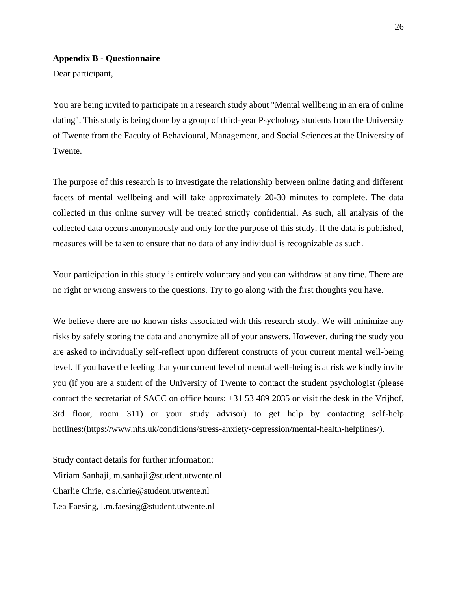#### **Appendix B - Questionnaire**

Dear participant,

You are being invited to participate in a research study about "Mental wellbeing in an era of online dating". This study is being done by a group of third-year Psychology students from the University of Twente from the Faculty of Behavioural, Management, and Social Sciences at the University of Twente.

The purpose of this research is to investigate the relationship between online dating and different facets of mental wellbeing and will take approximately 20-30 minutes to complete. The data collected in this online survey will be treated strictly confidential. As such, all analysis of the collected data occurs anonymously and only for the purpose of this study. If the data is published, measures will be taken to ensure that no data of any individual is recognizable as such.

Your participation in this study is entirely voluntary and you can withdraw at any time. There are no right or wrong answers to the questions. Try to go along with the first thoughts you have.

We believe there are no known risks associated with this research study. We will minimize any risks by safely storing the data and anonymize all of your answers. However, during the study you are asked to individually self-reflect upon different constructs of your current mental well-being level. If you have the feeling that your current level of mental well-being is at risk we kindly invite you (if you are a student of the University of Twente to contact the student psychologist (please contact the secretariat of SACC on office hours: +31 53 489 2035 or visit the desk in the Vrijhof, 3rd floor, room 311) or your study advisor) to get help by contacting self-help hotlines:(https://www.nhs.uk/conditions/stress-anxiety-depression/mental-health-helplines/).

Study contact details for further information: Miriam Sanhaji, m.sanhaji@student.utwente.nl Charlie Chrie, c.s.chrie@student.utwente.nl Lea Faesing, l.m.faesing@student.utwente.nl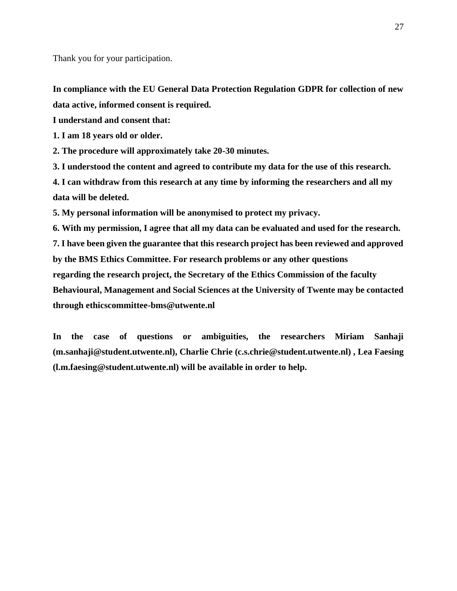Thank you for your participation.

**In compliance with the EU General Data Protection Regulation GDPR for collection of new data active, informed consent is required.**

**I understand and consent that:**

**1. I am 18 years old or older.**

**2. The procedure will approximately take 20-30 minutes.**

**3. I understood the content and agreed to contribute my data for the use of this research.**

**4. I can withdraw from this research at any time by informing the researchers and all my data will be deleted.**

**5. My personal information will be anonymised to protect my privacy.**

**6. With my permission, I agree that all my data can be evaluated and used for the research. 7. I have been given the guarantee that this research project has been reviewed and approved by the BMS Ethics Committee. For research problems or any other questions regarding the research project, the Secretary of the Ethics Commission of the faculty Behavioural, Management and Social Sciences at the University of Twente may be contacted through ethicscommittee-bms@utwente.nl**

**In the case of questions or ambiguities, the researchers Miriam Sanhaji (m.sanhaji@student.utwente.nl), Charlie Chrie (c.s.chrie@student.utwente.nl) , Lea Faesing (l.m.faesing@student.utwente.nl) will be available in order to help.**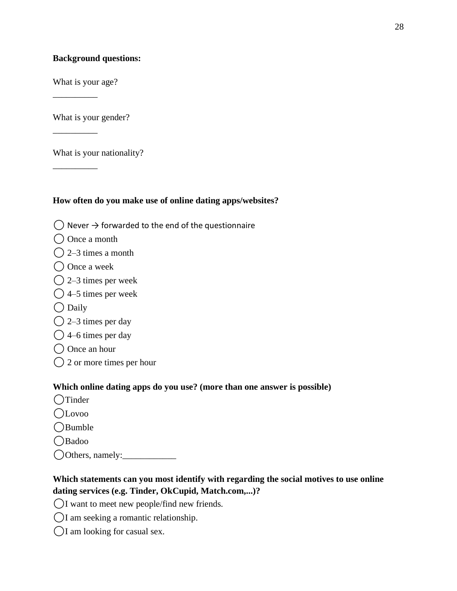# **Background questions:**

What is your age?

\_\_\_\_\_\_\_\_\_\_

\_\_\_\_\_\_\_\_\_\_

\_\_\_\_\_\_\_\_\_\_

What is your gender?

What is your nationality?

### **How often do you make use of online dating apps/websites?**

- $($ ) Never  $\rightarrow$  forwarded to the end of the questionnaire
- ◯ Once a month
- $\bigcap$  2–3 times a month
- ◯ Once a week
- $\bigcirc$  2–3 times per week
- $\bigcirc$  4–5 times per week
- $\bigcirc$  Daily
- $\bigcirc$  2–3 times per day
- $\bigcirc$  4–6 times per day
- ◯ Once an hour
- $\bigcirc$  2 or more times per hour

### **Which online dating apps do you use? (more than one answer is possible)**

- ○Tinder
- ⚪Lovoo
- ⚪Bumble
- OBadoo
- ⚪Others, namely:\_\_\_\_\_\_\_\_\_\_\_\_

# **Which statements can you most identify with regarding the social motives to use online dating services (e.g. Tinder, OkCupid, Match.com,...)?**

- ⚪I want to meet new people/find new friends.
- ⚪I am seeking a romantic relationship.
- $\bigcirc$ I am looking for casual sex.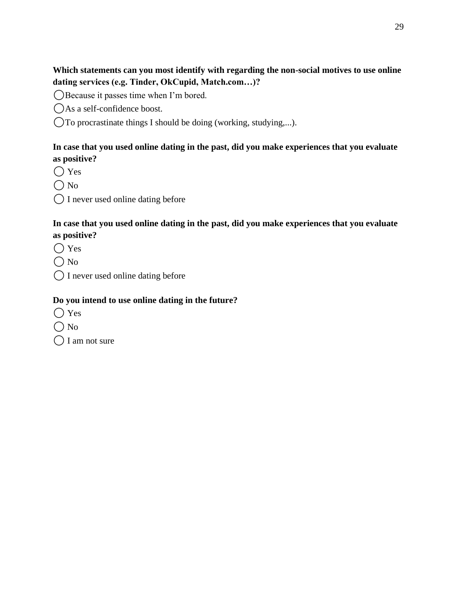# **Which statements can you most identify with regarding the non-social motives to use online dating services (e.g. Tinder, OkCupid, Match.com…)?**

⚪Because it passes time when I'm bored.

OAs a self-confidence boost.

⚪To procrastinate things I should be doing (working, studying,...).

# **In case that you used online dating in the past, did you make experiences that you evaluate as positive?**

 $\bigcirc$  Yes

- $\bigcap$  No
- ⚪ I never used online dating before

# **In case that you used online dating in the past, did you make experiences that you evaluate as positive?**

- ⚪ Yes
- $\bigcirc$  No
- ⚪ I never used online dating before

# **Do you intend to use online dating in the future?**

- $\bigcap$  Yes
- $\bigcap$  No

 $\bigcap$  I am not sure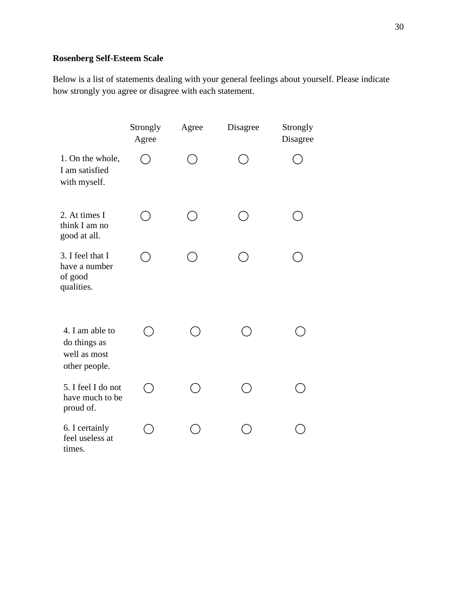# **Rosenberg Self-Esteem Scale**

Below is a list of statements dealing with your general feelings about yourself. Please indicate how strongly you agree or disagree with each statement.

|                                                                  | Strongly<br>Agree        | Agree | Disagree | Strongly<br>Disagree |
|------------------------------------------------------------------|--------------------------|-------|----------|----------------------|
| 1. On the whole,<br>I am satisfied<br>with myself.               |                          |       |          |                      |
| 2. At times I<br>think I am no<br>good at all.                   |                          |       |          |                      |
| 3. I feel that I<br>have a number<br>of good<br>qualities.       |                          |       |          |                      |
| 4. I am able to<br>do things as<br>well as most<br>other people. |                          |       |          |                      |
| 5. I feel I do not<br>have much to be<br>proud of.               | $\overline{\phantom{a}}$ |       |          |                      |
| 6. I certainly<br>feel useless at<br>times.                      |                          |       |          |                      |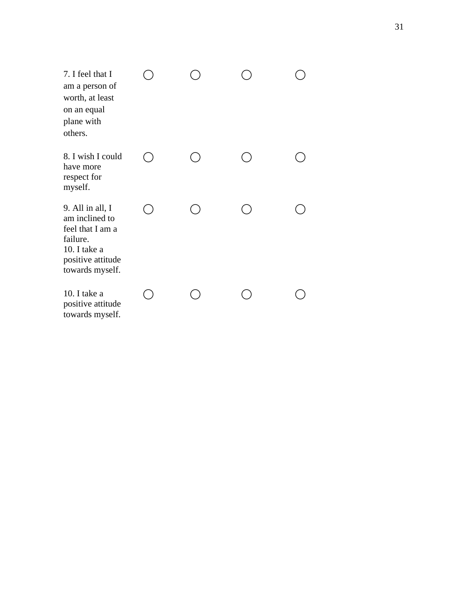| 7. I feel that I<br>am a person of<br>worth, at least<br>on an equal<br>plane with<br>others.                              |  |  |
|----------------------------------------------------------------------------------------------------------------------------|--|--|
| 8. I wish I could<br>have more<br>respect for<br>myself.                                                                   |  |  |
| 9. All in all, I<br>am inclined to<br>feel that I am a<br>failure.<br>10. I take a<br>positive attitude<br>towards myself. |  |  |
| 10. I take a<br>positive attitude<br>towards myself.                                                                       |  |  |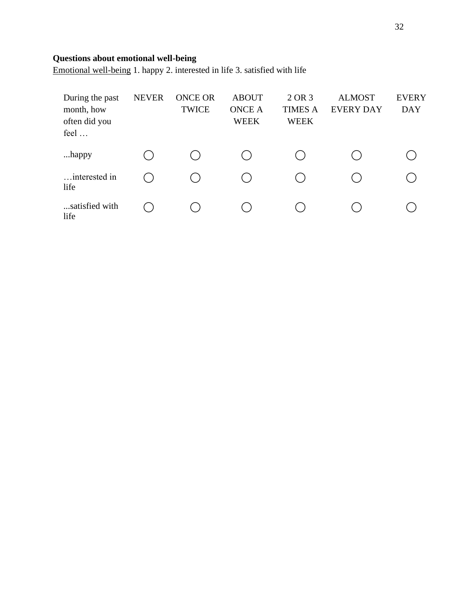# **Questions about emotional well-being**

Emotional well-being 1. happy 2. interested in life 3. satisfied with life

| During the past<br>month, how<br>often did you<br>feel | <b>NEVER</b> | <b>ONCE OR</b><br><b>TWICE</b> | <b>ABOUT</b><br><b>ONCE A</b><br><b>WEEK</b> | 2 OR 3<br><b>TIMES A</b><br><b>WEEK</b> | <b>ALMOST</b><br><b>EVERY DAY</b> | <b>EVERY</b><br><b>DAY</b> |
|--------------------------------------------------------|--------------|--------------------------------|----------------------------------------------|-----------------------------------------|-----------------------------------|----------------------------|
| happy                                                  |              |                                |                                              |                                         |                                   |                            |
| interested in<br>life                                  |              |                                |                                              |                                         |                                   |                            |
| satisfied with<br>life                                 |              |                                |                                              |                                         |                                   |                            |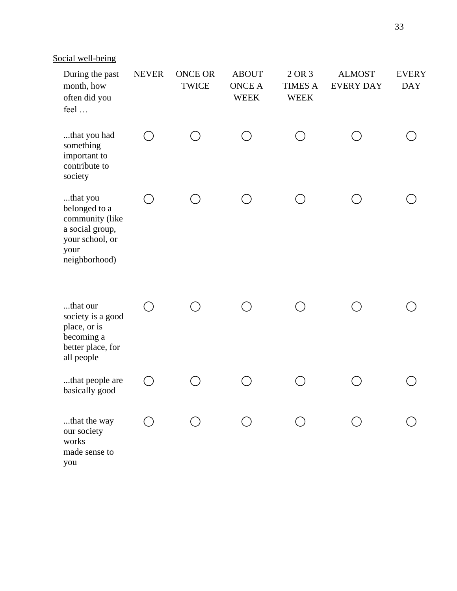Social well-being

| During the past<br>month, how<br>often did you<br>feel                                                      | <b>NEVER</b> | <b>ONCE OR</b><br><b>TWICE</b> | <b>ABOUT</b><br><b>ONCE A</b><br><b>WEEK</b> | 2 OR 3<br><b>TIMES A</b><br><b>WEEK</b> | <b>ALMOST</b><br><b>EVERY DAY</b> | <b>EVERY</b><br><b>DAY</b> |
|-------------------------------------------------------------------------------------------------------------|--------------|--------------------------------|----------------------------------------------|-----------------------------------------|-----------------------------------|----------------------------|
| that you had<br>something<br>important to<br>contribute to<br>society                                       |              |                                |                                              |                                         |                                   |                            |
| that you<br>belonged to a<br>community (like<br>a social group,<br>your school, or<br>your<br>neighborhood) |              |                                |                                              |                                         |                                   |                            |
| that our<br>society is a good<br>place, or is<br>becoming a<br>better place, for<br>all people              |              |                                |                                              |                                         |                                   |                            |
| that people are<br>basically good                                                                           |              |                                |                                              |                                         |                                   |                            |
| that the way<br>our society<br>works<br>made sense to<br>you                                                |              |                                |                                              |                                         |                                   |                            |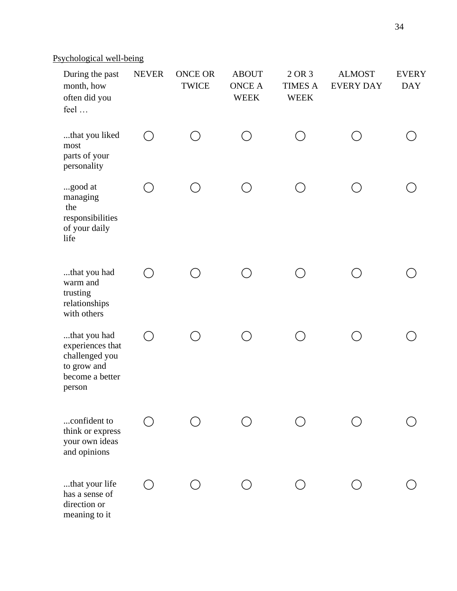# Psychological well-being

| During the past<br>month, how<br>often did you<br>feel                                         | <b>NEVER</b> | <b>ONCE OR</b><br><b>TWICE</b> | <b>ABOUT</b><br><b>ONCE A</b><br><b>WEEK</b> | 2 OR 3<br><b>TIMES A</b><br><b>WEEK</b> | <b>ALMOST</b><br><b>EVERY DAY</b> | <b>EVERY</b><br><b>DAY</b> |
|------------------------------------------------------------------------------------------------|--------------|--------------------------------|----------------------------------------------|-----------------------------------------|-----------------------------------|----------------------------|
| that you liked<br>most<br>parts of your<br>personality                                         | $\bigcap$    |                                | ◯                                            | ◯                                       |                                   |                            |
| good at<br>managing<br>the<br>responsibilities<br>of your daily<br>life                        |              |                                |                                              |                                         |                                   |                            |
| that you had<br>warm and<br>trusting<br>relationships<br>with others                           | $( \ )$      |                                |                                              |                                         |                                   |                            |
| that you had<br>experiences that<br>challenged you<br>to grow and<br>become a better<br>person | $(\ )$       |                                |                                              |                                         |                                   |                            |
| confident to<br>think or express<br>your own ideas<br>and opinions                             |              |                                |                                              |                                         |                                   |                            |
| that your life<br>has a sense of<br>direction or<br>meaning to it                              |              |                                |                                              |                                         |                                   |                            |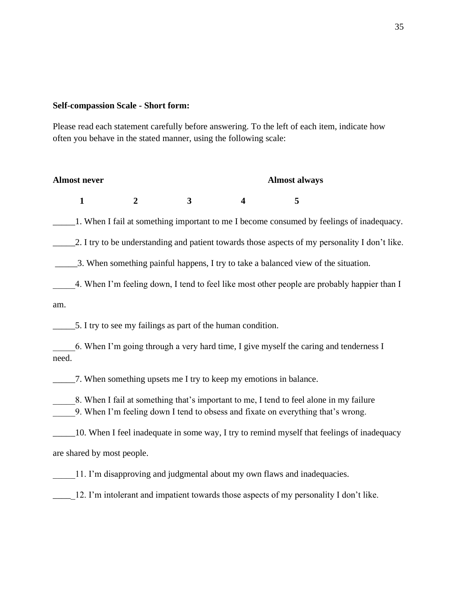#### **Self-compassion Scale - Short form:**

Please read each statement carefully before answering. To the left of each item, indicate how often you behave in the stated manner, using the following scale:

#### Almost never **Almost always**

| $\mathbf{1}$ |  | $\frac{4}{5}$ |
|--------------|--|---------------|

\_\_\_\_\_1. When I fail at something important to me I become consumed by feelings of inadequacy.

2. I try to be understanding and patient towards those aspects of my personality I don't like.

\_\_\_\_\_3. When something painful happens, I try to take a balanced view of the situation.

4. When I'm feeling down, I tend to feel like most other people are probably happier than I am.

\_\_\_\_\_5. I try to see my failings as part of the human condition.

\_\_\_\_\_6. When I'm going through a very hard time, I give myself the caring and tenderness I need.

\_\_\_\_\_7. When something upsets me I try to keep my emotions in balance.

8. When I fail at something that's important to me, I tend to feel alone in my failure 9. When I'm feeling down I tend to obsess and fixate on everything that's wrong.

\_\_\_\_\_10. When I feel inadequate in some way, I try to remind myself that feelings of inadequacy are shared by most people.

11. I'm disapproving and judgmental about my own flaws and inadequacies.

\_\_\_\_\_12. I'm intolerant and impatient towards those aspects of my personality I don't like.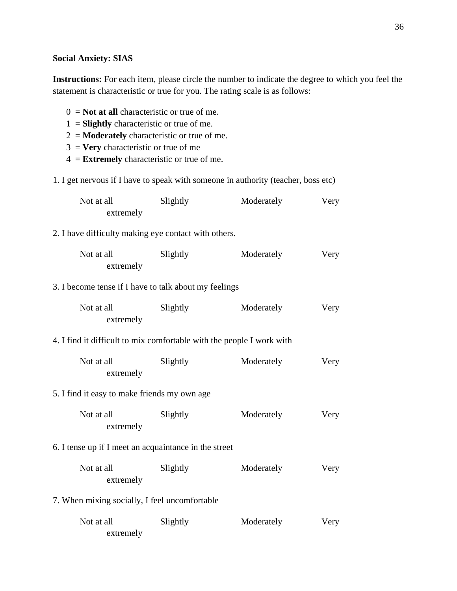# **Social Anxiety: SIAS**

**Instructions:** For each item, please circle the number to indicate the degree to which you feel the statement is characteristic or true for you. The rating scale is as follows:

| $0 =$ <b>Not at all</b> characteristic or true of me.<br>$1 =$ <b>Slightly</b> characteristic or true of me.<br>$2 =$ <b>Moderately</b> characteristic or true of me.<br>$3 =$ <b>Very</b> characteristic or true of me<br>$4 =$ <b>Extremely</b> characteristic or true of me. |          |            |      |  |
|---------------------------------------------------------------------------------------------------------------------------------------------------------------------------------------------------------------------------------------------------------------------------------|----------|------------|------|--|
| 1. I get nervous if I have to speak with someone in authority (teacher, boss etc)                                                                                                                                                                                               |          |            |      |  |
| Not at all<br>extremely                                                                                                                                                                                                                                                         | Slightly | Moderately | Very |  |
| 2. I have difficulty making eye contact with others.                                                                                                                                                                                                                            |          |            |      |  |
| Not at all<br>extremely                                                                                                                                                                                                                                                         | Slightly | Moderately | Very |  |
| 3. I become tense if I have to talk about my feelings                                                                                                                                                                                                                           |          |            |      |  |
| Not at all<br>extremely                                                                                                                                                                                                                                                         | Slightly | Moderately | Very |  |
| 4. I find it difficult to mix comfortable with the people I work with                                                                                                                                                                                                           |          |            |      |  |
| Not at all<br>extremely                                                                                                                                                                                                                                                         | Slightly | Moderately | Very |  |
| 5. I find it easy to make friends my own age                                                                                                                                                                                                                                    |          |            |      |  |
| Not at all<br>extremely                                                                                                                                                                                                                                                         | Slightly | Moderately | Very |  |
| 6. I tense up if I meet an acquaintance in the street                                                                                                                                                                                                                           |          |            |      |  |
| Not at all<br>extremely                                                                                                                                                                                                                                                         | Slightly | Moderately | Very |  |
| 7. When mixing socially, I feel uncomfortable                                                                                                                                                                                                                                   |          |            |      |  |
| Not at all<br>extremely                                                                                                                                                                                                                                                         | Slightly | Moderately | Very |  |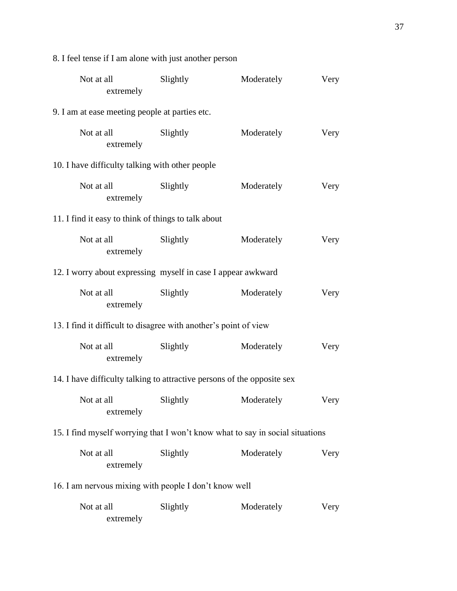| Not at all<br>extremely                                                       | Slightly | Moderately | Very |  |  |
|-------------------------------------------------------------------------------|----------|------------|------|--|--|
| 9. I am at ease meeting people at parties etc.                                |          |            |      |  |  |
| Not at all<br>extremely                                                       | Slightly | Moderately | Very |  |  |
| 10. I have difficulty talking with other people                               |          |            |      |  |  |
| Not at all<br>extremely                                                       | Slightly | Moderately | Very |  |  |
| 11. I find it easy to think of things to talk about                           |          |            |      |  |  |
| Not at all<br>extremely                                                       | Slightly | Moderately | Very |  |  |
| 12. I worry about expressing myself in case I appear awkward                  |          |            |      |  |  |
| Not at all<br>extremely                                                       | Slightly | Moderately | Very |  |  |
| 13. I find it difficult to disagree with another's point of view              |          |            |      |  |  |
| Not at all<br>extremely                                                       | Slightly | Moderately | Very |  |  |
| 14. I have difficulty talking to attractive persons of the opposite sex       |          |            |      |  |  |
| Not at all Slightly<br>extremely                                              |          | Moderately | Very |  |  |
| 15. I find myself worrying that I won't know what to say in social situations |          |            |      |  |  |
| Not at all<br>extremely                                                       | Slightly | Moderately | Very |  |  |
| 16. I am nervous mixing with people I don't know well                         |          |            |      |  |  |
| Not at all<br>extremely                                                       | Slightly | Moderately | Very |  |  |

8. I feel tense if I am alone with just another person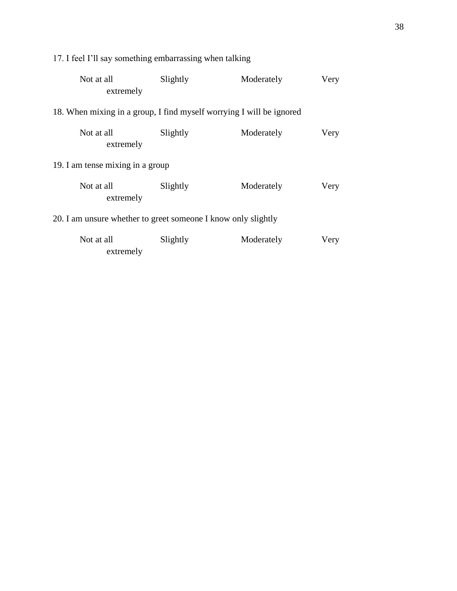| Not at all<br>extremely                                              | Slightly | Moderately | Very |
|----------------------------------------------------------------------|----------|------------|------|
| 18. When mixing in a group, I find myself worrying I will be ignored |          |            |      |
| Not at all<br>extremely                                              | Slightly | Moderately | Very |
| 19. I am tense mixing in a group                                     |          |            |      |
| Not at all<br>extremely                                              | Slightly | Moderately | Very |
| 20. I am unsure whether to greet someone I know only slightly        |          |            |      |
| Not at all<br>extremely                                              | Slightly | Moderately | Very |

17. I feel I'll say something embarrassing when talking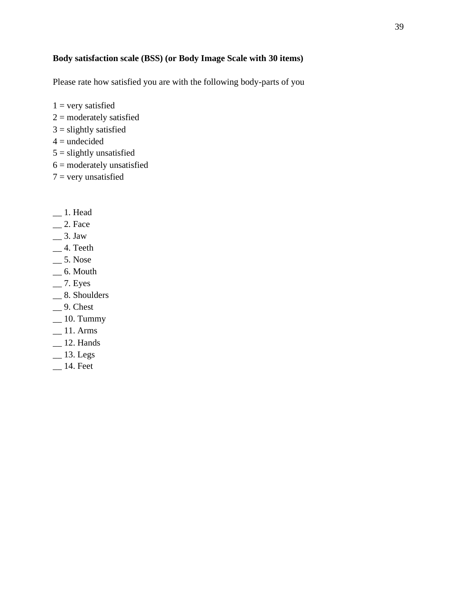# **Body satisfaction scale (BSS) (or Body Image Scale with 30 items)**

Please rate how satisfied you are with the following body-parts of you

- $1 =$  very satisfied
- $2 =$  moderately satisfied
- $3 =$  slightly satisfied
- $4 =$ undecided
- $5 =$  slightly unsatisfied
- 6 = moderately unsatisfied
- $7 =$  very unsatisfied
- \_\_ 1. Head
- $\_\_$ 2. Face
- $\frac{3. \text{ Jaw}}{2}$
- $-4.$  Teeth
- $-$  5. Nose
- $\overline{\phantom{0}}$  6. Mouth
- $-7.$  Eyes
- \_\_ 8. Shoulders
- $-9.$  Chest
- $\equiv$  10. Tummy
- $=$  11. Arms
- \_\_ 12. Hands
- $\_\_$ 13. Legs
- \_\_ 14. Feet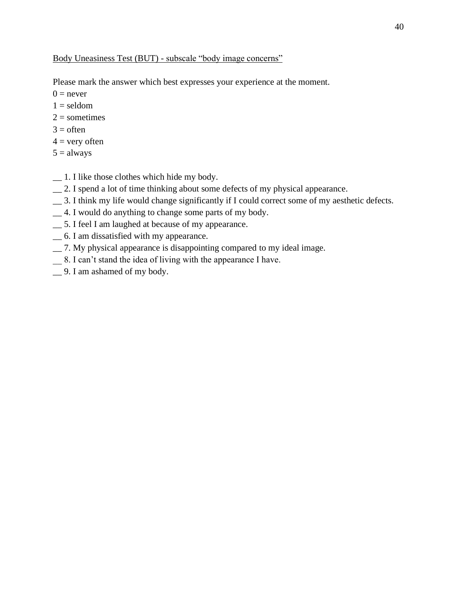Please mark the answer which best expresses your experience at the moment.

 $0 =$  never

- $1 =$  seldom
- $2 =$ sometimes
- $3 =$  often
- $4 =$  very often
- $5 =$ always
- \_\_ 1. I like those clothes which hide my body.
- \_\_ 2. I spend a lot of time thinking about some defects of my physical appearance.
- \_\_ 3. I think my life would change significantly if I could correct some of my aesthetic defects.
- \_\_ 4. I would do anything to change some parts of my body.
- \_\_ 5. I feel I am laughed at because of my appearance.
- \_\_ 6. I am dissatisfied with my appearance.
- \_\_ 7. My physical appearance is disappointing compared to my ideal image.
- \_\_ 8. I can't stand the idea of living with the appearance I have.
- \_\_ 9. I am ashamed of my body.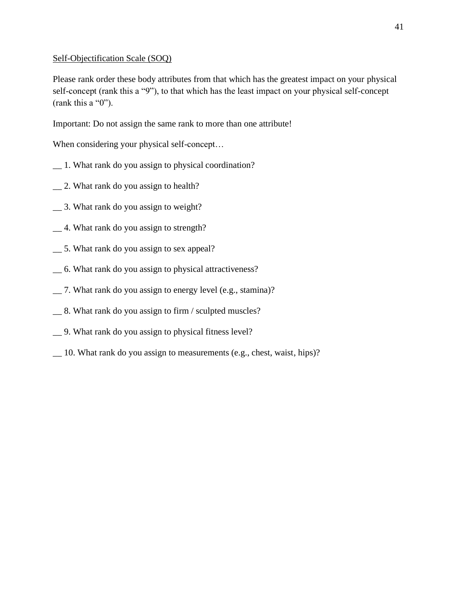### Self-Objectification Scale (SOQ)

Please rank order these body attributes from that which has the greatest impact on your physical self-concept (rank this a "9"), to that which has the least impact on your physical self-concept (rank this a "0").

Important: Do not assign the same rank to more than one attribute!

When considering your physical self-concept...

- \_\_ 1. What rank do you assign to physical coordination?
- \_\_ 2. What rank do you assign to health?
- \_\_ 3. What rank do you assign to weight?
- \_\_ 4. What rank do you assign to strength?
- \_\_ 5. What rank do you assign to sex appeal?
- \_\_ 6. What rank do you assign to physical attractiveness?
- \_\_ 7. What rank do you assign to energy level (e.g., stamina)?
- \_\_ 8. What rank do you assign to firm / sculpted muscles?
- \_\_ 9. What rank do you assign to physical fitness level?
- \_\_ 10. What rank do you assign to measurements (e.g., chest, waist, hips)?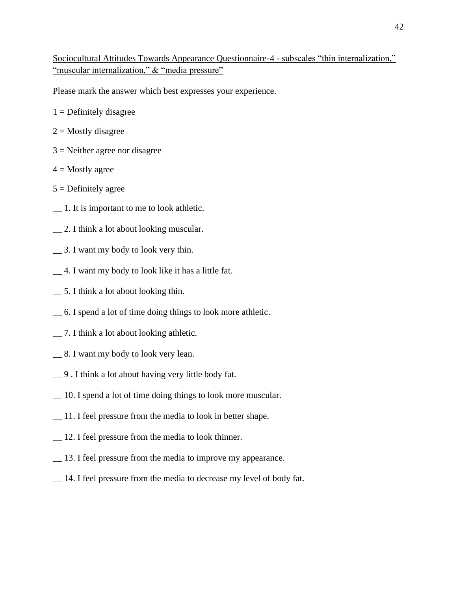Sociocultural Attitudes Towards Appearance Questionnaire-4 - subscales "thin internalization," "muscular internalization," & "media pressure"

Please mark the answer which best expresses your experience.

- $1 =$  Definitely disagree
- $2 =$ Mostly disagree
- $3$  = Neither agree nor disagree
- $4 =$ Mostly agree
- $5 =$  Definitely agree
- \_\_ 1. It is important to me to look athletic.
- \_\_ 2. I think a lot about looking muscular.
- \_\_ 3. I want my body to look very thin.
- \_\_ 4. I want my body to look like it has a little fat.
- \_\_ 5. I think a lot about looking thin.
- \_\_ 6. I spend a lot of time doing things to look more athletic.
- \_\_ 7. I think a lot about looking athletic.
- \_\_ 8. I want my body to look very lean.
- \_\_ 9 . I think a lot about having very little body fat.
- \_\_ 10. I spend a lot of time doing things to look more muscular.
- \_\_ 11. I feel pressure from the media to look in better shape.
- \_\_ 12. I feel pressure from the media to look thinner.
- \_\_ 13. I feel pressure from the media to improve my appearance.
- \_\_ 14. I feel pressure from the media to decrease my level of body fat.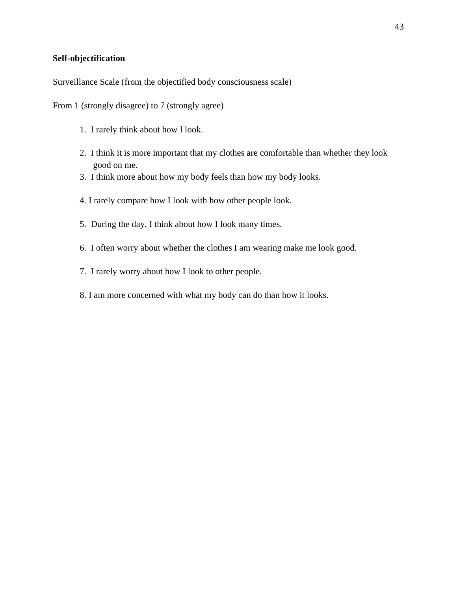#### **Self-objectification**

Surveillance Scale (from the objectified body consciousness scale)

From 1 (strongly disagree) to 7 (strongly agree)

- 1. I rarely think about how I look.
- 2. I think it is more important that my clothes are comfortable than whether they look good on me.
- 3. I think more about how my body feels than how my body looks.
- 4. I rarely compare how I look with how other people look.
- 5. During the day, I think about how I look many times.
- 6. I often worry about whether the clothes I am wearing make me look good.
- 7. I rarely worry about how I look to other people.
- 8. I am more concerned with what my body can do than how it looks.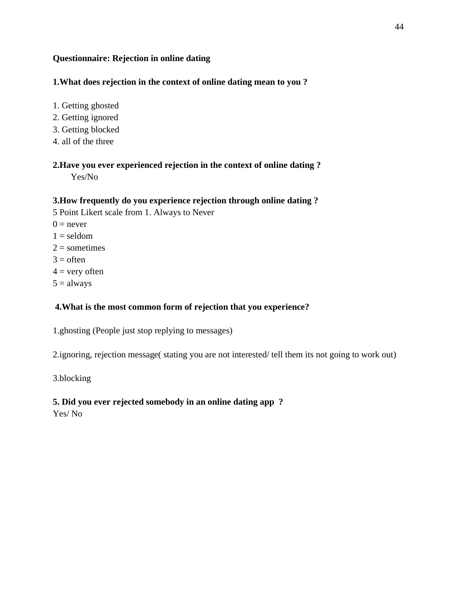# **Questionnaire: Rejection in online dating**

# **1.What does rejection in the context of online dating mean to you ?**

- 1. Getting ghosted
- 2. Getting ignored
- 3. Getting blocked
- 4. all of the three

# **2.Have you ever experienced rejection in the context of online dating ?**

Yes/No

# **3.How frequently do you experience rejection through online dating ?**

5 Point Likert scale from 1. Always to Never

- $0 =$  never
- $1 =$  seldom
- $2 =$ sometimes
- $3 =$  often
- $4 =$  very often
- $5 =$ always

# **4.What is the most common form of rejection that you experience?**

1.ghosting (People just stop replying to messages)

2.ignoring, rejection message( stating you are not interested/ tell them its not going to work out)

3.blocking

# **5. Did you ever rejected somebody in an online dating app ?**

Yes/ No